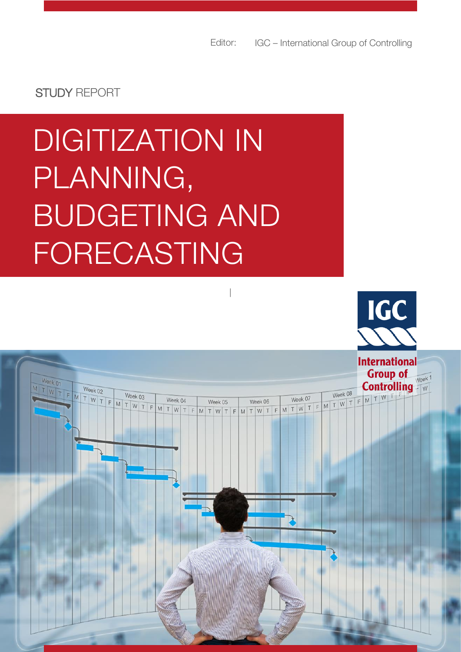STUDY REPORT

Week 01

TWTFMTWTFMTWEEK03

# **DIGITIZATION IN**  PLANNING, BUDGETING AND FORECASTING

|



**Group of** 

Week 08

Week 04 Week 05 Week 06 Week 07 Week 08 Week 07 T W T F M T W T F M T W T F M T W T F M T W T F M T W T F M T W T F M T W T F M T W T F M T W T F M T W T F M T W T F M T W T F M T W T F M T W T F M T W T F M T W T F M T W

**Controlling** 

Week<sub>1</sub>

 $\overline{\phantom{a}}$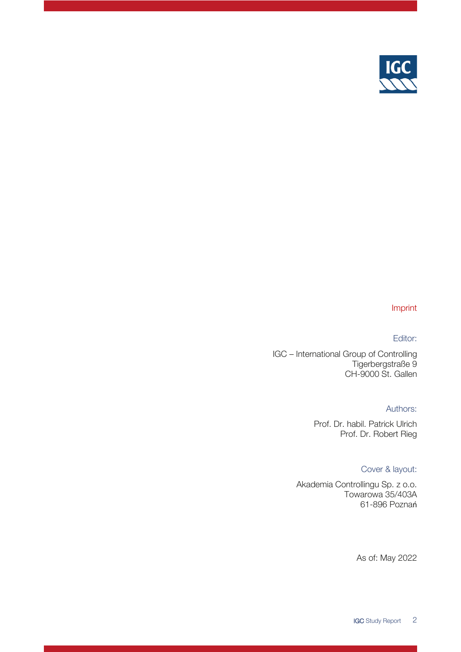

### Imprint

### Editor:

IGC – International Group of Controlling Tigerbergstraße 9 CH-9000 St. Gallen

#### Authors:

Prof. Dr. habil. Patrick Ulrich Prof. Dr. Robert Rieg

### Cover & layout:

Akademia Controllingu Sp. z o.o. Towarowa 35/403A 61-896 Poznań

As of: May 2022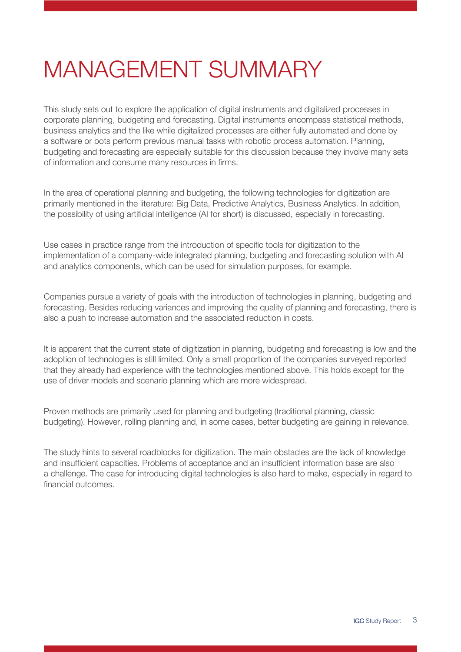### <span id="page-2-0"></span>MANAGEMENT SUMMARY

This study sets out to explore the application of digital instruments and digitalized processes in corporate planning, budgeting and forecasting. Digital instruments encompass statistical methods, business analytics and the like while digitalized processes are either fully automated and done by a software or bots perform previous manual tasks with robotic process automation. Planning, budgeting and forecasting are especially suitable for this discussion because they involve many sets of information and consume many resources in firms.

In the area of operational planning and budgeting, the following technologies for digitization are primarily mentioned in the literature: Big Data, Predictive Analytics, Business Analytics. In addition, the possibility of using artificial intelligence (AI for short) is discussed, especially in forecasting.

Use cases in practice range from the introduction of specific tools for digitization to the implementation of a company-wide integrated planning, budgeting and forecasting solution with AI and analytics components, which can be used for simulation purposes, for example.

Companies pursue a variety of goals with the introduction of technologies in planning, budgeting and forecasting. Besides reducing variances and improving the quality of planning and forecasting, there is also a push to increase automation and the associated reduction in costs.

It is apparent that the current state of digitization in planning, budgeting and forecasting is low and the adoption of technologies is still limited. Only a small proportion of the companies surveyed reported that they already had experience with the technologies mentioned above. This holds except for the use of driver models and scenario planning which are more widespread.

Proven methods are primarily used for planning and budgeting (traditional planning, classic budgeting). However, rolling planning and, in some cases, better budgeting are gaining in relevance.

The study hints to several roadblocks for digitization. The main obstacles are the lack of knowledge and insufficient capacities. Problems of acceptance and an insufficient information base are also a challenge. The case for introducing digital technologies is also hard to make, especially in regard to financial outcomes.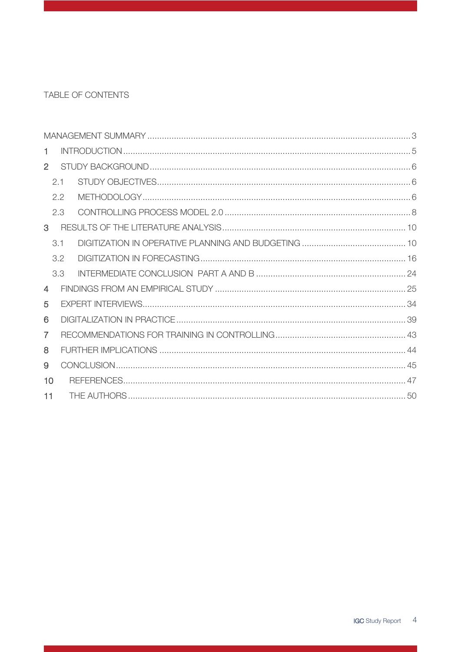### TABLE OF CONTENTS

| 1.             |     |  |  |  |  |  |  |  |  |
|----------------|-----|--|--|--|--|--|--|--|--|
| $\overline{2}$ |     |  |  |  |  |  |  |  |  |
|                | 2.1 |  |  |  |  |  |  |  |  |
|                | 2.2 |  |  |  |  |  |  |  |  |
|                | 2.3 |  |  |  |  |  |  |  |  |
| $\mathbf{3}$   |     |  |  |  |  |  |  |  |  |
|                | 3.1 |  |  |  |  |  |  |  |  |
|                | 3.2 |  |  |  |  |  |  |  |  |
|                | 3.3 |  |  |  |  |  |  |  |  |
| 4              |     |  |  |  |  |  |  |  |  |
| 5              |     |  |  |  |  |  |  |  |  |
| 6              |     |  |  |  |  |  |  |  |  |
| $\overline{7}$ |     |  |  |  |  |  |  |  |  |
| 8              |     |  |  |  |  |  |  |  |  |
| 9              |     |  |  |  |  |  |  |  |  |
| 10             |     |  |  |  |  |  |  |  |  |
| 11             |     |  |  |  |  |  |  |  |  |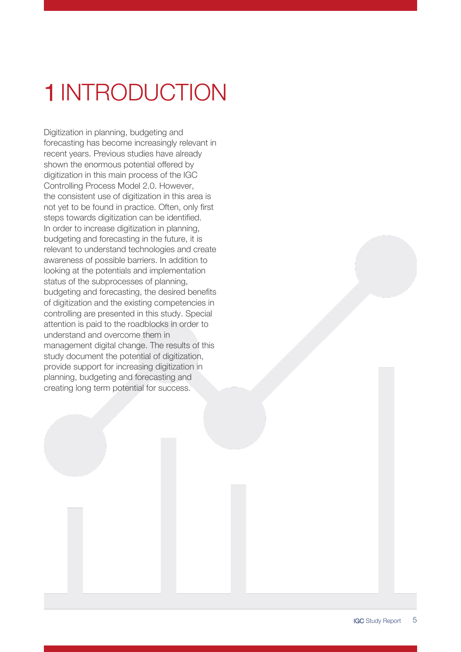## <span id="page-4-0"></span>1 INTRODUCTION

Digitization in planning, budgeting and forecasting has become increasingly relevant in recent years. Previous studies have already shown the enormous potential offered by digitization in this main process of the IGC Controlling Process Model 2.0. However, the consistent use of digitization in this area is not yet to be found in practice. Often, only first steps towards digitization can be identified. In order to increase digitization in planning, budgeting and forecasting in the future, it is relevant to understand technologies and create awareness of possible barriers. In addition to looking at the potentials and implementation status of the subprocesses of planning, budgeting and forecasting, the desired benefits of digitization and the existing competencies in controlling are presented in this study. Special attention is paid to the roadblocks in order to understand and overcome them in management digital change. The results of this study document the potential of digitization, provide support for increasing digitization in planning, budgeting and forecasting and creating long term potential for success.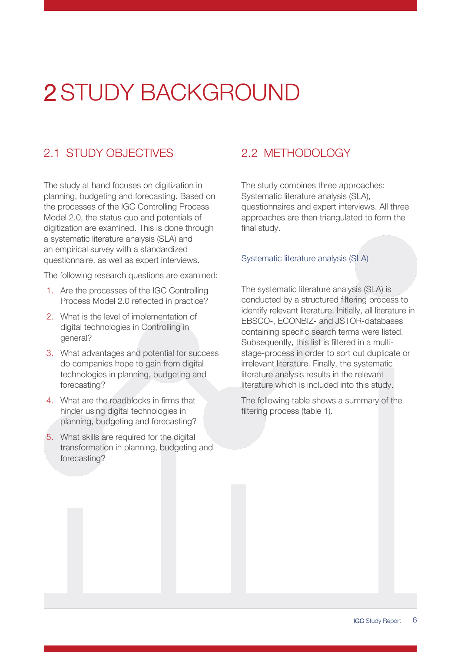### <span id="page-5-0"></span>2 STUDY BACKGROUND

### <span id="page-5-1"></span>2.1 STUDY OBJECTIVES

The study at hand focuses on digitization in planning, budgeting and forecasting. Based on the processes of the IGC Controlling Process Model 2.0, the status quo and potentials of digitization are examined. This is done through a systematic literature analysis (SLA) and an empirical survey with a standardized questionnaire, as well as expert interviews.

The following research questions are examined:

- 1. Are the processes of the IGC Controlling Process Model 2.0 reflected in practice?
- 2. What is the level of implementation of digital technologies in Controlling in general?
- 3. What advantages and potential for success do companies hope to gain from digital technologies in planning, budgeting and forecasting?
- 4. What are the roadblocks in firms that hinder using digital technologies in planning, budgeting and forecasting?
- 5. What skills are required for the digital transformation in planning, budgeting and forecasting?

### <span id="page-5-2"></span>2.2 METHODOLOGY

The study combines three approaches: Systematic literature analysis (SLA), questionnaires and expert interviews. All three approaches are then triangulated to form the final study.

### Systematic literature analysis (SLA)

The systematic literature analysis (SLA) is conducted by a structured filtering process to identify relevant literature. Initially, all literature in EBSCO-, ECONBIZ- and JSTOR-databases containing specific search terms were listed. Subsequently, this list is filtered in a multistage-process in order to sort out duplicate or irrelevant literature. Finally, the systematic literature analysis results in the relevant literature which is included into this study.

The following table shows a summary of the filtering process (table 1).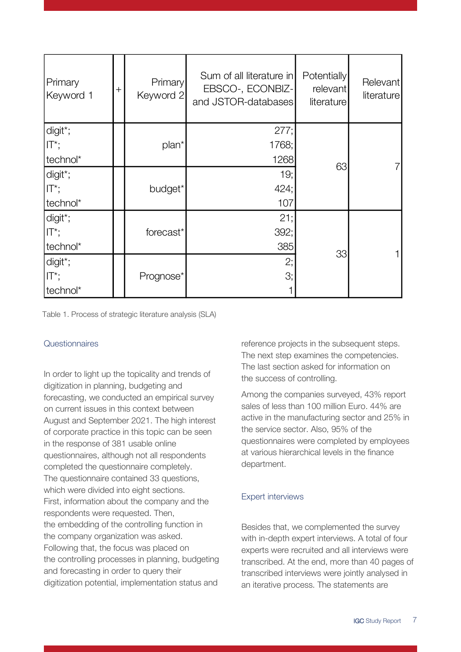| Primary<br>Keyword 1 | $^+$ | Primary<br>Keyword 2 | Sum of all literature in<br>EBSCO-, ECONBIZ-<br>and JSTOR-databases | <b>Potentially</b><br>relevant<br>literature | Relevant<br>literature |
|----------------------|------|----------------------|---------------------------------------------------------------------|----------------------------------------------|------------------------|
| digit*;              |      |                      | 277;                                                                |                                              |                        |
| $\Pi^*$ ;            |      | plan <sup>*</sup>    | 1768;                                                               |                                              |                        |
| technol*             |      |                      | 1268                                                                | 63                                           |                        |
| digit*;              |      |                      | 19;                                                                 |                                              |                        |
| $\Pi^*$ ;            |      | budget*              | 424;                                                                |                                              |                        |
| technol*             |      |                      | 107                                                                 |                                              |                        |
| digit*;              |      |                      | 21;                                                                 |                                              |                        |
| $\Pi^*$ ;            |      | forecast*            | 392;                                                                |                                              |                        |
| technol*             |      |                      | 385                                                                 |                                              |                        |
| digit*;              |      |                      | 2;                                                                  | 33                                           |                        |
| $ \mathsf{T}^*;$     |      | Prognose*            | З;                                                                  |                                              |                        |
| technol*             |      |                      |                                                                     |                                              |                        |

Table 1. Process of strategic literature analysis (SLA)

### **Questionnaires**

In order to light up the topicality and trends of digitization in planning, budgeting and forecasting, we conducted an empirical survey on current issues in this context between August and September 2021. The high interest of corporate practice in this topic can be seen in the response of 381 usable online questionnaires, although not all respondents completed the questionnaire completely. The questionnaire contained 33 questions, which were divided into eight sections. First, information about the company and the respondents were requested. Then, the embedding of the controlling function in the company organization was asked. Following that, the focus was placed on the controlling processes in planning, budgeting and forecasting in order to query their digitization potential, implementation status and

reference projects in the subsequent steps. The next step examines the competencies. The last section asked for information on the success of controlling.

Among the companies surveyed, 43% report sales of less than 100 million Euro. 44% are active in the manufacturing sector and 25% in the service sector. Also, 95% of the questionnaires were completed by employees at various hierarchical levels in the finance department.

### Expert interviews

Besides that, we complemented the survey with in-depth expert interviews. A total of four experts were recruited and all interviews were transcribed. At the end, more than 40 pages of transcribed interviews were jointly analysed in an iterative process. The statements are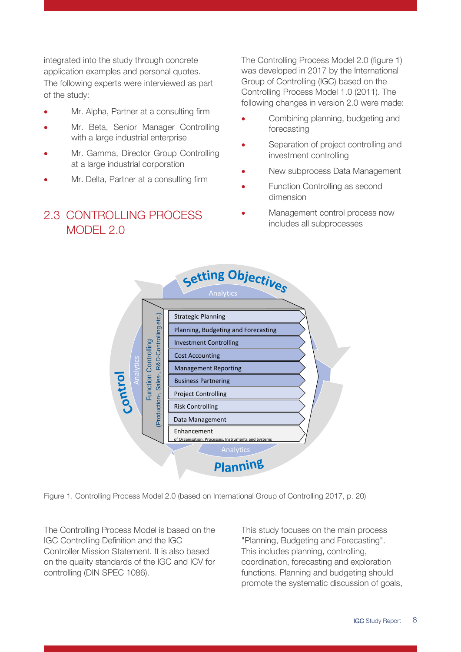integrated into the study through concrete application examples and personal quotes. The following experts were interviewed as part of the study:

- Mr. Alpha, Partner at a consulting firm
- Mr. Beta, Senior Manager Controlling with a large industrial enterprise
- Mr. Gamma, Director Group Controlling at a large industrial corporation
- <span id="page-7-0"></span>Mr. Delta, Partner at a consulting firm

### 2.3 CONTROLLING PROCESS MODEL 2.0

The Controlling Process Model 2.0 (figure 1) was developed in 2017 by the International Group of Controlling (IGC) based on the Controlling Process Model 1.0 (2011). The following changes in version 2.0 were made:

- Combining planning, budgeting and forecasting
- Separation of project controlling and investment controlling
- New subprocess Data Management
- Function Controlling as second dimension
- Management control process now includes all subprocesses



Figure 1. Controlling Process Model 2.0 (based on International Group of Controlling 2017, p. 20)

The Controlling Process Model is based on the IGC Controlling Definition and the IGC Controller Mission Statement. It is also based on the quality standards of the IGC and ICV for controlling (DIN SPEC 1086).

This study focuses on the main process "Planning, Budgeting and Forecasting". This includes planning, controlling, coordination, forecasting and exploration functions. Planning and budgeting should promote the systematic discussion of goals,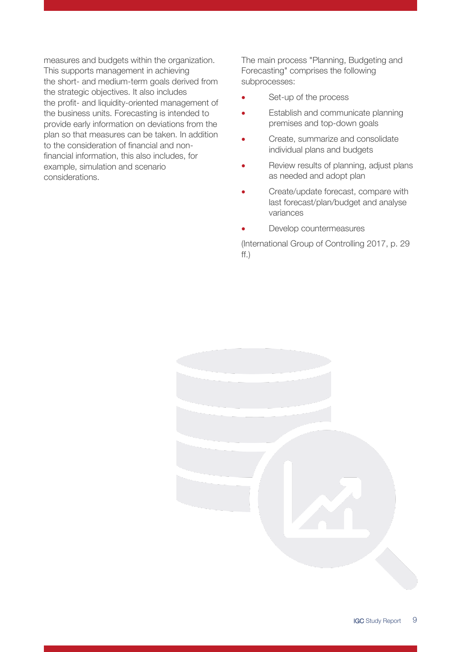measures and budgets within the organization. This supports management in achieving the short- and medium-term goals derived from the strategic objectives. It also includes the profit- and liquidity-oriented management of the business units. Forecasting is intended to provide early information on deviations from the plan so that measures can be taken. In addition to the consideration of financial and nonfinancial information, this also includes, for example, simulation and scenario considerations.

The main process "Planning, Budgeting and Forecasting" comprises the following subprocesses:

- Set-up of the process
- Establish and communicate planning premises and top-down goals
- Create, summarize and consolidate individual plans and budgets
- Review results of planning, adjust plans as needed and adopt plan
- Create/update forecast, compare with last forecast/plan/budget and analyse variances
- Develop countermeasures

(International Group of Controlling 2017, p. 29 ff.)

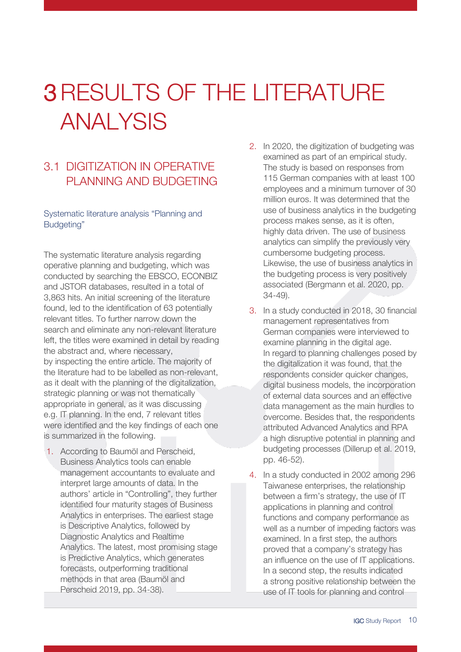### <span id="page-9-0"></span>3RESULTS OF THE LITERATURE ANALYSIS

### <span id="page-9-1"></span>3.1 DIGITIZATION IN OPERATIVE PLANNING AND BUDGETING

Systematic literature analysis "Planning and Budgeting"

The systematic literature analysis regarding operative planning and budgeting, which was conducted by searching the EBSCO, ECONBIZ and JSTOR databases, resulted in a total of 3,863 hits. An initial screening of the literature found, led to the identification of 63 potentially relevant titles. To further narrow down the search and eliminate any non-relevant literature left, the titles were examined in detail by reading the abstract and, where necessary, by inspecting the entire article. The majority of the literature had to be labelled as non-relevant, as it dealt with the planning of the digitalization, strategic planning or was not thematically appropriate in general, as it was discussing e.g. IT planning. In the end, 7 relevant titles were identified and the key findings of each one is summarized in the following.

1. According to Baumöl and Perscheid, Business Analytics tools can enable management accountants to evaluate and interpret large amounts of data. In the authors' article in "Controlling", they further identified four maturity stages of Business Analytics in enterprises. The earliest stage is Descriptive Analytics, followed by Diagnostic Analytics and Realtime Analytics. The latest, most promising stage is Predictive Analytics, which generates forecasts, outperforming traditional methods in that area (Baumöl and Perscheid 2019, pp. 34-38).

- 2. In 2020, the digitization of budgeting was examined as part of an empirical study. The study is based on responses from 115 German companies with at least 100 employees and a minimum turnover of 30 million euros. It was determined that the use of business analytics in the budgeting process makes sense, as it is often, highly data driven. The use of business analytics can simplify the previously very cumbersome budgeting process. Likewise, the use of business analytics in the budgeting process is very positively associated (Bergmann et al. 2020, pp. 34-49).
- 3. In a study conducted in 2018, 30 financial management representatives from German companies were interviewed to examine planning in the digital age. In regard to planning challenges posed by the digitalization it was found, that the respondents consider quicker changes, digital business models, the incorporation of external data sources and an effective data management as the main hurdles to overcome. Besides that, the respondents attributed Advanced Analytics and RPA a high disruptive potential in planning and budgeting processes (Dillerup et al. 2019, pp. 46-52).
- 4. In a study conducted in 2002 among 296 Taiwanese enterprises, the relationship between a firm's strategy, the use of IT applications in planning and control functions and company performance as well as a number of impeding factors was examined. In a first step, the authors proved that a company's strategy has an influence on the use of IT applications. In a second step, the results indicated a strong positive relationship between the use of IT tools for planning and control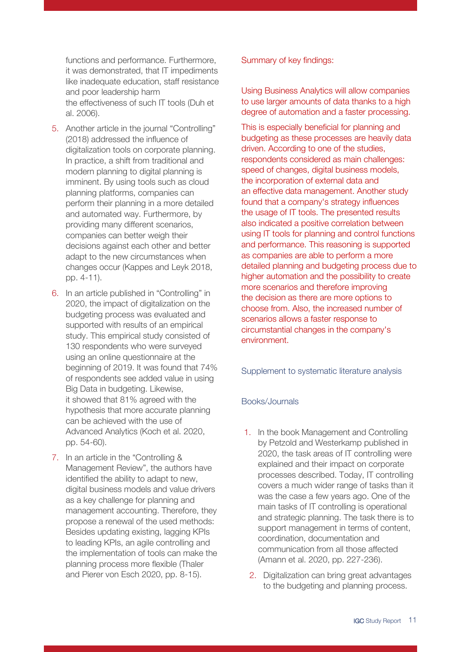functions and performance. Furthermore, it was demonstrated, that IT impediments like inadequate education, staff resistance and poor leadership harm the effectiveness of such IT tools (Duh et al. 2006).

- 5. Another article in the journal "Controlling" (2018) addressed the influence of digitalization tools on corporate planning. In practice, a shift from traditional and modern planning to digital planning is imminent. By using tools such as cloud planning platforms, companies can perform their planning in a more detailed and automated way. Furthermore, by providing many different scenarios, companies can better weigh their decisions against each other and better adapt to the new circumstances when changes occur (Kappes and Leyk 2018, pp. 4-11).
- 6. In an article published in "Controlling" in 2020, the impact of digitalization on the budgeting process was evaluated and supported with results of an empirical study. This empirical study consisted of 130 respondents who were surveyed using an online questionnaire at the beginning of 2019. It was found that 74% of respondents see added value in using Big Data in budgeting. Likewise, it showed that 81% agreed with the hypothesis that more accurate planning can be achieved with the use of Advanced Analytics (Koch et al. 2020, pp. 54-60).
- 7. In an article in the "Controlling & Management Review", the authors have identified the ability to adapt to new, digital business models and value drivers as a key challenge for planning and management accounting. Therefore, they propose a renewal of the used methods: Besides updating existing, lagging KPIs to leading KPIs, an agile controlling and the implementation of tools can make the planning process more flexible (Thaler and Pierer von Esch 2020, pp. 8-15).

Summary of key findings:

Using Business Analytics will allow companies to use larger amounts of data thanks to a high degree of automation and a faster processing.

This is especially beneficial for planning and budgeting as these processes are heavily data driven. According to one of the studies, respondents considered as main challenges: speed of changes, digital business models, the incorporation of external data and an effective data management. Another study found that a company's strategy influences the usage of IT tools. The presented results also indicated a positive correlation between using IT tools for planning and control functions and performance. This reasoning is supported as companies are able to perform a more detailed planning and budgeting process due to higher automation and the possibility to create more scenarios and therefore improving the decision as there are more options to choose from. Also, the increased number of scenarios allows a faster response to circumstantial changes in the company's environment.

Supplement to systematic literature analysis

### Books/Journals

- 1. In the book Management and Controlling by Petzold and Westerkamp published in 2020, the task areas of IT controlling were explained and their impact on corporate processes described. Today, IT controlling covers a much wider range of tasks than it was the case a few years ago. One of the main tasks of IT controlling is operational and strategic planning. The task there is to support management in terms of content, coordination, documentation and communication from all those affected (Amann et al. 2020, pp. 227-236).
- 2. Digitalization can bring great advantages to the budgeting and planning process.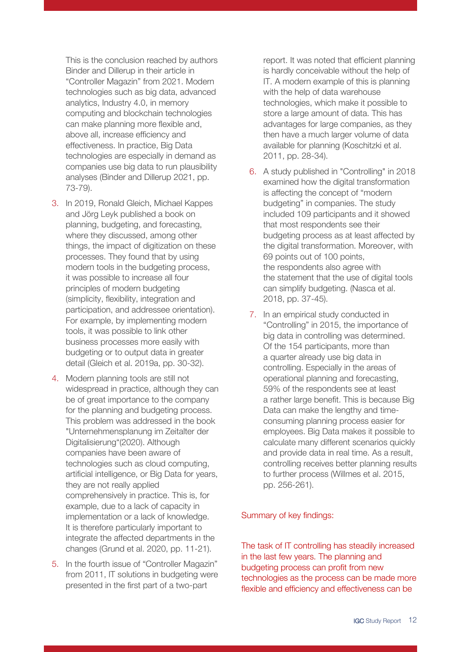This is the conclusion reached by authors Binder and Dillerup in their article in "Controller Magazin" from 2021. Modern technologies such as big data, advanced analytics, Industry 4.0, in memory computing and blockchain technologies can make planning more flexible and, above all, increase efficiency and effectiveness. In practice, Big Data technologies are especially in demand as companies use big data to run plausibility analyses (Binder and Dillerup 2021, pp. 73-79).

- 3. In 2019, Ronald Gleich, Michael Kappes and Jörg Leyk published a book on planning, budgeting, and forecasting, where they discussed, among other things, the impact of digitization on these processes. They found that by using modern tools in the budgeting process, it was possible to increase all four principles of modern budgeting (simplicity, flexibility, integration and participation, and addressee orientation). For example, by implementing modern tools, it was possible to link other business processes more easily with budgeting or to output data in greater detail (Gleich et al. 2019a, pp. 30-32).
- 4. Modern planning tools are still not widespread in practice, although they can be of great importance to the company for the planning and budgeting process. This problem was addressed in the book "Unternehmensplanung im Zeitalter der Digitalisierung"(2020). Although companies have been aware of technologies such as cloud computing, artificial intelligence, or Big Data for years, they are not really applied comprehensively in practice. This is, for example, due to a lack of capacity in implementation or a lack of knowledge. It is therefore particularly important to integrate the affected departments in the changes (Grund et al. 2020, pp. 11-21).
- 5. In the fourth issue of "Controller Magazin" from 2011, IT solutions in budgeting were presented in the first part of a two-part

report. It was noted that efficient planning is hardly conceivable without the help of IT. A modern example of this is planning with the help of data warehouse technologies, which make it possible to store a large amount of data. This has advantages for large companies, as they then have a much larger volume of data available for planning (Koschitzki et al. 2011, pp. 28-34).

- 6. A study published in "Controlling" in 2018 examined how the digital transformation is affecting the concept of "modern budgeting" in companies. The study included 109 participants and it showed that most respondents see their budgeting process as at least affected by the digital transformation. Moreover, with 69 points out of 100 points, the respondents also agree with the statement that the use of digital tools can simplify budgeting. (Nasca et al. 2018, pp. 37-45).
- 7. In an empirical study conducted in "Controlling" in 2015, the importance of big data in controlling was determined. Of the 154 participants, more than a quarter already use big data in controlling. Especially in the areas of operational planning and forecasting, 59% of the respondents see at least a rather large benefit. This is because Big Data can make the lengthy and timeconsuming planning process easier for employees. Big Data makes it possible to calculate many different scenarios quickly and provide data in real time. As a result, controlling receives better planning results to further process (Willmes et al. 2015, pp. 256-261).

### Summary of key findings:

The task of IT controlling has steadily increased in the last few years. The planning and budgeting process can profit from new technologies as the process can be made more flexible and efficiency and effectiveness can be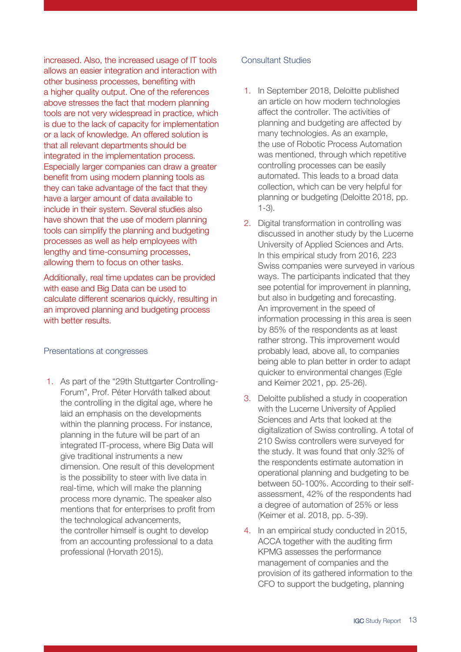increased. Also, the increased usage of IT tools allows an easier integration and interaction with other business processes, benefiting with a higher quality output. One of the references above stresses the fact that modern planning tools are not very widespread in practice, which is due to the lack of capacity for implementation or a lack of knowledge. An offered solution is that all relevant departments should be integrated in the implementation process. Especially larger companies can draw a greater benefit from using modern planning tools as they can take advantage of the fact that they have a larger amount of data available to include in their system. Several studies also have shown that the use of modern planning tools can simplify the planning and budgeting processes as well as help employees with lengthy and time-consuming processes, allowing them to focus on other tasks.

Additionally, real time updates can be provided with ease and Big Data can be used to calculate different scenarios quickly, resulting in an improved planning and budgeting process with better results.

#### Presentations at congresses

1. As part of the "29th Stuttgarter Controlling-Forum", Prof. Péter Horváth talked about the controlling in the digital age, where he laid an emphasis on the developments within the planning process. For instance, planning in the future will be part of an integrated IT-process, where Big Data will give traditional instruments a new dimension. One result of this development is the possibility to steer with live data in real-time, which will make the planning process more dynamic. The speaker also mentions that for enterprises to profit from the technological advancements, the controller himself is ought to develop from an accounting professional to a data professional (Horvath 2015).

### Consultant Studies

- 1. In September 2018, Deloitte published an article on how modern technologies affect the controller. The activities of planning and budgeting are affected by many technologies. As an example, the use of Robotic Process Automation was mentioned, through which repetitive controlling processes can be easily automated. This leads to a broad data collection, which can be very helpful for planning or budgeting (Deloitte 2018, pp. 1-3).
- 2. Digital transformation in controlling was discussed in another study by the Lucerne University of Applied Sciences and Arts. In this empirical study from 2016, 223 Swiss companies were surveyed in various ways. The participants indicated that they see potential for improvement in planning, but also in budgeting and forecasting. An improvement in the speed of information processing in this area is seen by 85% of the respondents as at least rather strong. This improvement would probably lead, above all, to companies being able to plan better in order to adapt quicker to environmental changes (Egle and Keimer 2021, pp. 25-26).
- 3. Deloitte published a study in cooperation with the Lucerne University of Applied Sciences and Arts that looked at the digitalization of Swiss controlling. A total of 210 Swiss controllers were surveyed for the study. It was found that only 32% of the respondents estimate automation in operational planning and budgeting to be between 50-100%. According to their selfassessment, 42% of the respondents had a degree of automation of 25% or less (Keimer et al. 2018, pp. 5-39).
- 4. In an empirical study conducted in 2015, ACCA together with the auditing firm KPMG assesses the performance management of companies and the provision of its gathered information to the CFO to support the budgeting, planning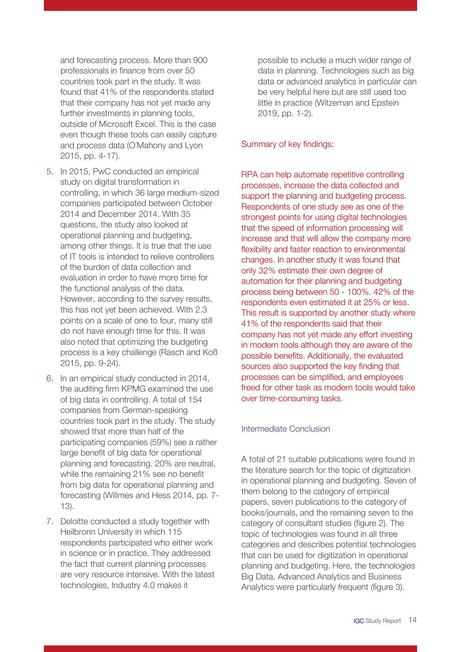and forecasting process. More than 900 professionals in finance from over 50 countries took part in the study. It was found that 41% of the respondents stated that their company has not yet made any further investments in planning tools, outside of Microsoft Excel. This is the case even though these tools can easily capture and process data (O´Mahony and Lyon 2015, pp. 4-17).

- 5. In 2015, PwC conducted an empirical study on digital transformation in controlling, in which 36 large medium-sized companies participated between October 2014 and December 2014. With 35 questions, the study also looked at operational planning and budgeting, among other things. It is true that the use of IT tools is intended to relieve controllers of the burden of data collection and evaluation in order to have more time for the functional analysis of the data. However, according to the survey results, this has not yet been achieved. With 2.3 points on a scale of one to four, many still do not have enough time for this. It was also noted that optimizing the budgeting process is a key challenge (Rasch and Koß 2015, pp. 9-24).
- 6. In an empirical study conducted in 2014, the auditing firm KPMG examined the use of big data in controlling. A total of 154 companies from German-speaking countries took part in the study. The study showed that more than half of the participating companies (59%) see a rather large benefit of big data for operational planning and forecasting. 20% are neutral, while the remaining 21% see no benefit from big data for operational planning and forecasting (Willmes and Hess 2014, pp. 7- 13).
- 7. Deloitte conducted a study together with Heilbronn University in which 115 respondents participated who either work in science or in practice. They addressed the fact that current planning processes are very resource intensive. With the latest technologies, Industry 4.0 makes it

possible to include a much wider range of data in planning. Technologies such as big data or advanced analytics in particular can be very helpful here but are still used too little in practice (Witzeman and Epstein 2019, pp. 1-2).

### Summary of key findings:

RPA can help automate repetitive controlling processes, increase the data collected and support the planning and budgeting process. Respondents of one study see as one of the strongest points for using digital technologies that the speed of information processing will increase and that will allow the company more flexibility and faster reaction to environmental changes. In another study it was found that only 32% estimate their own degree of automation for their planning and budgeting process being between 50 - 100%. 42% of the respondents even estimated it at 25% or less. This result is supported by another study where 41% of the respondents said that their company has not yet made any effort investing in modern tools although they are aware of the possible benefits. Additionally, the evaluated sources also supported the key finding that processes can be simplified, and employees freed for other task as modern tools would take over time-consuming tasks.

### Intermediate Conclusion

A total of 21 suitable publications were found in the literature search for the topic of digitization in operational planning and budgeting. Seven of them belong to the category of empirical papers, seven publications to the category of books/journals, and the remaining seven to the category of consultant studies (figure 2). The topic of technologies was found in all three categories and describes potential technologies that can be used for digitization in operational planning and budgeting. Here, the technologies Big Data, Advanced Analytics and Business Analytics were particularly frequent (figure 3).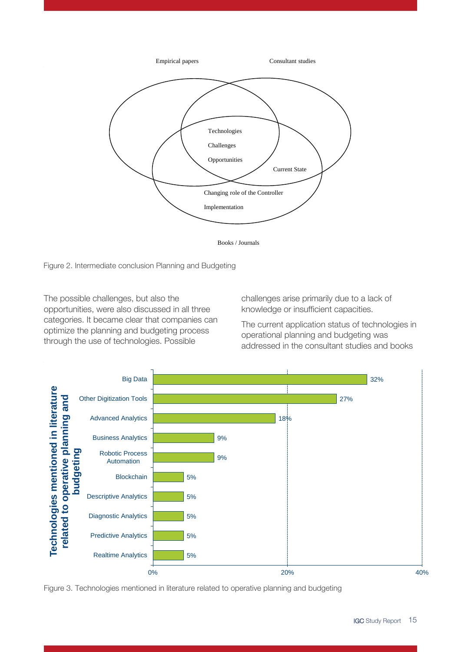

Books / Journals

Figure 2. Intermediate conclusion Planning and Budgeting

The possible challenges, but also the opportunities, were also discussed in all three categories. It became clear that companies can optimize the planning and budgeting process through the use of technologies. Possible

challenges arise primarily due to a lack of knowledge or insufficient capacities.

The current application status of technologies in operational planning and budgeting was addressed in the consultant studies and books



Figure 3. Technologies mentioned in literature related to operative planning and budgeting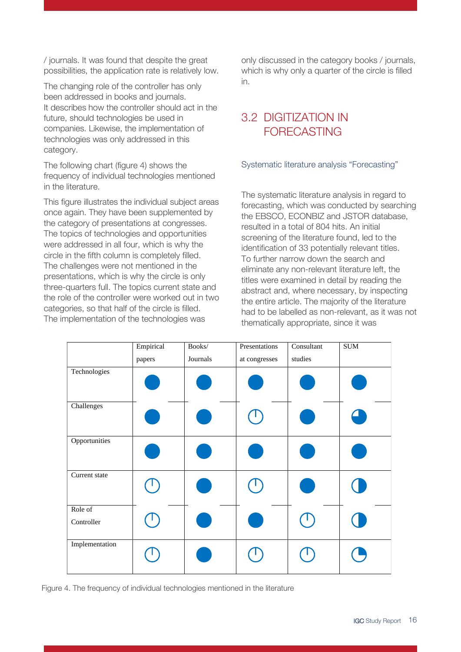/ journals. It was found that despite the great possibilities, the application rate is relatively low.

The changing role of the controller has only been addressed in books and journals. It describes how the controller should act in the future, should technologies be used in companies. Likewise, the implementation of technologies was only addressed in this category.

The following chart (figure 4) shows the frequency of individual technologies mentioned in the literature.

This figure illustrates the individual subject areas once again. They have been supplemented by the category of presentations at congresses. The topics of technologies and opportunities were addressed in all four, which is why the circle in the fifth column is completely filled. The challenges were not mentioned in the presentations, which is why the circle is only three-quarters full. The topics current state and the role of the controller were worked out in two categories, so that half of the circle is filled. The implementation of the technologies was

only discussed in the category books / journals, which is why only a quarter of the circle is filled in.

### <span id="page-15-0"></span>3.2 DIGITIZATION IN FORECASTING

### Systematic literature analysis "Forecasting"

The systematic literature analysis in regard to forecasting, which was conducted by searching the EBSCO, ECONBIZ and JSTOR database, resulted in a total of 804 hits. An initial screening of the literature found, led to the identification of 33 potentially relevant titles. To further narrow down the search and eliminate any non-relevant literature left, the titles were examined in detail by reading the abstract and, where necessary, by inspecting the entire article. The majority of the literature had to be labelled as non-relevant, as it was not thematically appropriate, since it was

|                       | Empirical<br>papers | Books/<br>Journals | Presentations<br>at congresses | Consultant<br>studies | $\rm SUM$ |
|-----------------------|---------------------|--------------------|--------------------------------|-----------------------|-----------|
| Technologies          |                     |                    |                                |                       |           |
| Challenges            |                     |                    |                                |                       |           |
| Opportunities         |                     |                    |                                |                       |           |
| Current state         |                     |                    |                                |                       |           |
| Role of<br>Controller |                     |                    |                                |                       |           |
| Implementation        |                     |                    |                                |                       |           |

Figure 4. The frequency of individual technologies mentioned in the literature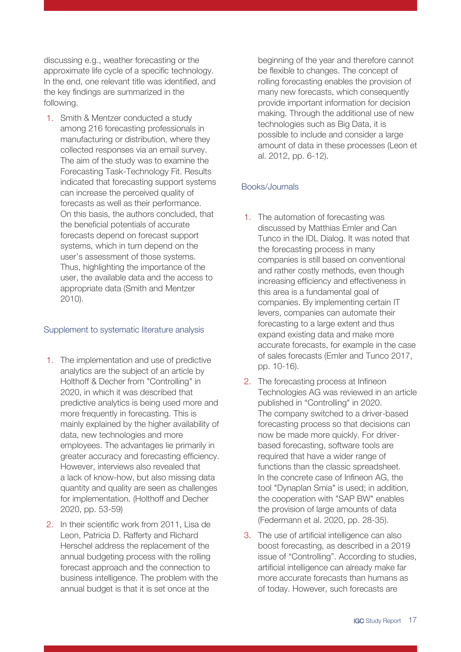discussing e.g., weather forecasting or the approximate life cycle of a specific technology. In the end, one relevant title was identified, and the key findings are summarized in the following.

1. Smith & Mentzer conducted a study among 216 forecasting professionals in manufacturing or distribution, where they collected responses via an email survey. The aim of the study was to examine the Forecasting Task-Technology Fit. Results indicated that forecasting support systems can increase the perceived quality of forecasts as well as their performance. On this basis, the authors concluded, that the beneficial potentials of accurate forecasts depend on forecast support systems, which in turn depend on the user's assessment of those systems. Thus, highlighting the importance of the user, the available data and the access to appropriate data (Smith and Mentzer 2010).

### Supplement to systematic literature analysis

- 1. The implementation and use of predictive analytics are the subject of an article by Holthoff & Decher from "Controlling" in 2020, in which it was described that predictive analytics is being used more and more frequently in forecasting. This is mainly explained by the higher availability of data, new technologies and more employees. The advantages lie primarily in greater accuracy and forecasting efficiency. However, interviews also revealed that a lack of know-how, but also missing data quantity and quality are seen as challenges for implementation. (Holthoff and Decher 2020, pp. 53-59)
- 2. In their scientific work from 2011, Lisa de Leon, Patricia D. Rafferty and Richard Herschel address the replacement of the annual budgeting process with the rolling forecast approach and the connection to business intelligence. The problem with the annual budget is that it is set once at the

beginning of the year and therefore cannot be flexible to changes. The concept of rolling forecasting enables the provision of many new forecasts, which consequently provide important information for decision making. Through the additional use of new technologies such as Big Data, it is possible to include and consider a large amount of data in these processes (Leon et al. 2012, pp. 6-12).

### Books/Journals

- 1. The automation of forecasting was discussed by Matthias Emler and Can Tunco in the IDL Dialog. It was noted that the forecasting process in many companies is still based on conventional and rather costly methods, even though increasing efficiency and effectiveness in this area is a fundamental goal of companies. By implementing certain IT levers, companies can automate their forecasting to a large extent and thus expand existing data and make more accurate forecasts, for example in the case of sales forecasts (Emler and Tunco 2017, pp. 10-16).
- 2. The forecasting process at Infineon Technologies AG was reviewed in an article published in "Controlling" in 2020. The company switched to a driver-based forecasting process so that decisions can now be made more quickly. For driverbased forecasting, software tools are required that have a wider range of functions than the classic spreadsheet. In the concrete case of Infineon AG, the tool "Dynaplan Smia" is used; in addition, the cooperation with "SAP BW" enables the provision of large amounts of data (Federmann et al. 2020, pp. 28-35).
- 3. The use of artificial intelligence can also boost forecasting, as described in a 2019 issue of "Controlling". According to studies, artificial intelligence can already make far more accurate forecasts than humans as of today. However, such forecasts are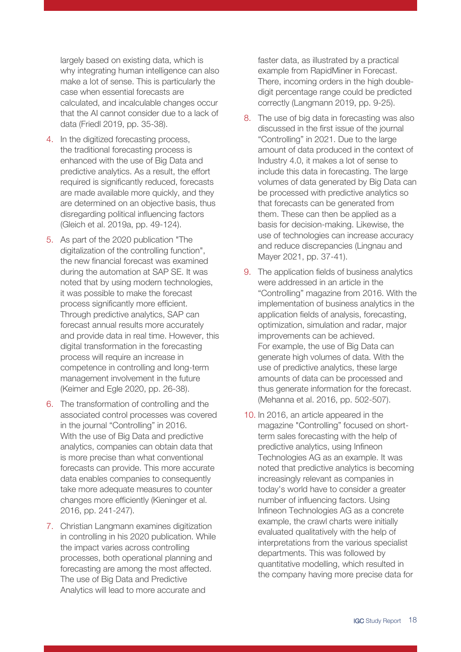largely based on existing data, which is why integrating human intelligence can also make a lot of sense. This is particularly the case when essential forecasts are calculated, and incalculable changes occur that the AI cannot consider due to a lack of data (Friedl 2019, pp. 35-38).

- 4. In the digitized forecasting process, the traditional forecasting process is enhanced with the use of Big Data and predictive analytics. As a result, the effort required is significantly reduced, forecasts are made available more quickly, and they are determined on an objective basis, thus disregarding political influencing factors (Gleich et al. 2019a, pp. 49-124).
- 5. As part of the 2020 publication "The digitalization of the controlling function", the new financial forecast was examined during the automation at SAP SE. It was noted that by using modern technologies, it was possible to make the forecast process significantly more efficient. Through predictive analytics, SAP can forecast annual results more accurately and provide data in real time. However, this digital transformation in the forecasting process will require an increase in competence in controlling and long-term management involvement in the future (Keimer and Egle 2020, pp. 26-38).
- 6. The transformation of controlling and the associated control processes was covered in the journal "Controlling" in 2016. With the use of Big Data and predictive analytics, companies can obtain data that is more precise than what conventional forecasts can provide. This more accurate data enables companies to consequently take more adequate measures to counter changes more efficiently (Kieninger et al. 2016, pp. 241-247).
- 7. Christian Langmann examines digitization in controlling in his 2020 publication. While the impact varies across controlling processes, both operational planning and forecasting are among the most affected. The use of Big Data and Predictive Analytics will lead to more accurate and

faster data, as illustrated by a practical example from RapidMiner in Forecast. There, incoming orders in the high doubledigit percentage range could be predicted correctly (Langmann 2019, pp. 9-25).

- 8. The use of big data in forecasting was also discussed in the first issue of the journal "Controlling" in 2021. Due to the large amount of data produced in the context of Industry 4.0, it makes a lot of sense to include this data in forecasting. The large volumes of data generated by Big Data can be processed with predictive analytics so that forecasts can be generated from them. These can then be applied as a basis for decision-making. Likewise, the use of technologies can increase accuracy and reduce discrepancies (Lingnau and Mayer 2021, pp. 37-41).
- 9. The application fields of business analytics were addressed in an article in the "Controlling" magazine from 2016. With the implementation of business analytics in the application fields of analysis, forecasting, optimization, simulation and radar, major improvements can be achieved. For example, the use of Big Data can generate high volumes of data. With the use of predictive analytics, these large amounts of data can be processed and thus generate information for the forecast. (Mehanna et al. 2016, pp. 502-507).
- 10. In 2016, an article appeared in the magazine "Controlling" focused on shortterm sales forecasting with the help of predictive analytics, using Infineon Technologies AG as an example. It was noted that predictive analytics is becoming increasingly relevant as companies in today's world have to consider a greater number of influencing factors. Using Infineon Technologies AG as a concrete example, the crawl charts were initially evaluated qualitatively with the help of interpretations from the various specialist departments. This was followed by quantitative modelling, which resulted in the company having more precise data for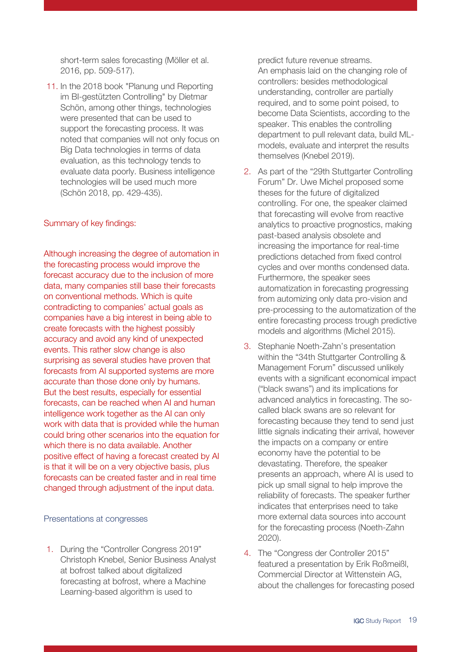short-term sales forecasting (Möller et al. 2016, pp. 509-517).

11. In the 2018 book "Planung und Reporting im BI-gestützten Controlling" by Dietmar Schön, among other things, technologies were presented that can be used to support the forecasting process. It was noted that companies will not only focus on Big Data technologies in terms of data evaluation, as this technology tends to evaluate data poorly. Business intelligence technologies will be used much more (Schön 2018, pp. 429-435).

#### Summary of key findings:

Although increasing the degree of automation in the forecasting process would improve the forecast accuracy due to the inclusion of more data, many companies still base their forecasts on conventional methods. Which is quite contradicting to companies' actual goals as companies have a big interest in being able to create forecasts with the highest possibly accuracy and avoid any kind of unexpected events. This rather slow change is also surprising as several studies have proven that forecasts from AI supported systems are more accurate than those done only by humans. But the best results, especially for essential forecasts, can be reached when AI and human intelligence work together as the AI can only work with data that is provided while the human could bring other scenarios into the equation for which there is no data available. Another positive effect of having a forecast created by AI is that it will be on a very objective basis, plus forecasts can be created faster and in real time changed through adjustment of the input data.

#### Presentations at congresses

1. During the "Controller Congress 2019" Christoph Knebel, Senior Business Analyst at bofrost talked about digitalized forecasting at bofrost, where a Machine Learning-based algorithm is used to

predict future revenue streams. An emphasis laid on the changing role of controllers: besides methodological understanding, controller are partially required, and to some point poised, to become Data Scientists, according to the speaker. This enables the controlling department to pull relevant data, build MLmodels, evaluate and interpret the results themselves (Knebel 2019).

- 2. As part of the "29th Stuttgarter Controlling Forum" Dr. Uwe Michel proposed some theses for the future of digitalized controlling. For one, the speaker claimed that forecasting will evolve from reactive analytics to proactive prognostics, making past-based analysis obsolete and increasing the importance for real-time predictions detached from fixed control cycles and over months condensed data. Furthermore, the speaker sees automatization in forecasting progressing from automizing only data pro-vision and pre-processing to the automatization of the entire forecasting process trough predictive models and algorithms (Michel 2015).
- 3. Stephanie Noeth-Zahn's presentation within the "34th Stuttgarter Controlling & Management Forum" discussed unlikely events with a significant economical impact ("black swans") and its implications for advanced analytics in forecasting. The socalled black swans are so relevant for forecasting because they tend to send just little signals indicating their arrival, however the impacts on a company or entire economy have the potential to be devastating. Therefore, the speaker presents an approach, where AI is used to pick up small signal to help improve the reliability of forecasts. The speaker further indicates that enterprises need to take more external data sources into account for the forecasting process (Noeth-Zahn 2020).
- 4. The "Congress der Controller 2015" featured a presentation by Erik Roßmeißl, Commercial Director at Wittenstein AG, about the challenges for forecasting posed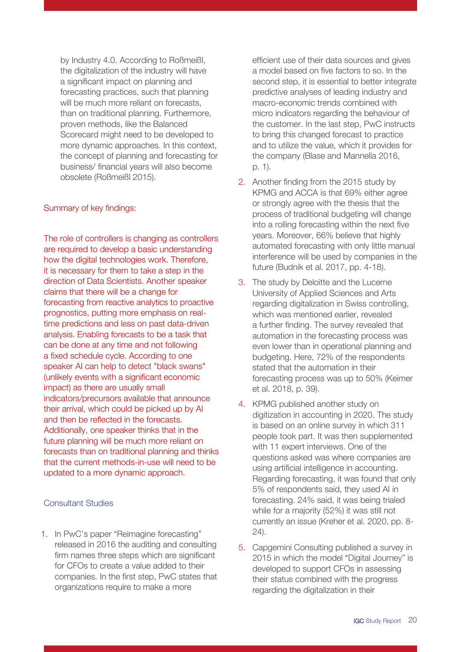by Industry 4.0. According to Roßmeißl, the digitalization of the industry will have a significant impact on planning and forecasting practices, such that planning will be much more reliant on forecasts, than on traditional planning. Furthermore, proven methods, like the Balanced Scorecard might need to be developed to more dynamic approaches. In this context, the concept of planning and forecasting for business/ financial years will also become obsolete (Roßmeißl 2015).

#### Summary of key findings:

The role of controllers is changing as controllers are required to develop a basic understanding how the digital technologies work. Therefore, it is necessary for them to take a step in the direction of Data Scientists. Another speaker claims that there will be a change for forecasting from reactive analytics to proactive prognostics, putting more emphasis on realtime predictions and less on past data-driven analysis. Enabling forecasts to be a task that can be done at any time and not following a fixed schedule cycle. According to one speaker AI can help to detect "black swans" (unlikely events with a significant economic impact) as there are usually small indicators/precursors available that announce their arrival, which could be picked up by AI and then be reflected in the forecasts. Additionally, one speaker thinks that in the future planning will be much more reliant on forecasts than on traditional planning and thinks that the current methods-in-use will need to be updated to a more dynamic approach.

### Consultant Studies

1. In PwC's paper "Reimagine forecasting" released in 2016 the auditing and consulting firm names three steps which are significant for CFOs to create a value added to their companies. In the first step, PwC states that organizations require to make a more

efficient use of their data sources and gives a model based on five factors to so. In the second step, it is essential to better integrate predictive analyses of leading industry and macro-economic trends combined with micro indicators regarding the behaviour of the customer. In the last step, PwC instructs to bring this changed forecast to practice and to utilize the value, which it provides for the company (Blase and Mannella 2016, p. 1).

- 2. Another finding from the 2015 study by KPMG and ACCA is that 69% either agree or strongly agree with the thesis that the process of traditional budgeting will change into a rolling forecasting within the next five years. Moreover, 66% believe that highly automated forecasting with only little manual interference will be used by companies in the future (Budnik et al. 2017, pp. 4-18).
- 3. The study by Deloitte and the Lucerne University of Applied Sciences and Arts regarding digitalization in Swiss controlling, which was mentioned earlier, revealed a further finding. The survey revealed that automation in the forecasting process was even lower than in operational planning and budgeting. Here, 72% of the respondents stated that the automation in their forecasting process was up to 50% (Keimer et al. 2018, p. 39).
- 4. KPMG published another study on digitization in accounting in 2020. The study is based on an online survey in which 311 people took part. It was then supplemented with 11 expert interviews. One of the questions asked was where companies are using artificial intelligence in accounting. Regarding forecasting, it was found that only 5% of respondents said, they used AI in forecasting. 24% said, it was being trialed while for a majority (52%) it was still not currently an issue (Kreher et al. 2020, pp. 8- 24).
- 5. Capgemini Consulting published a survey in 2015 in which the model "Digital Journey" is developed to support CFOs in assessing their status combined with the progress regarding the digitalization in their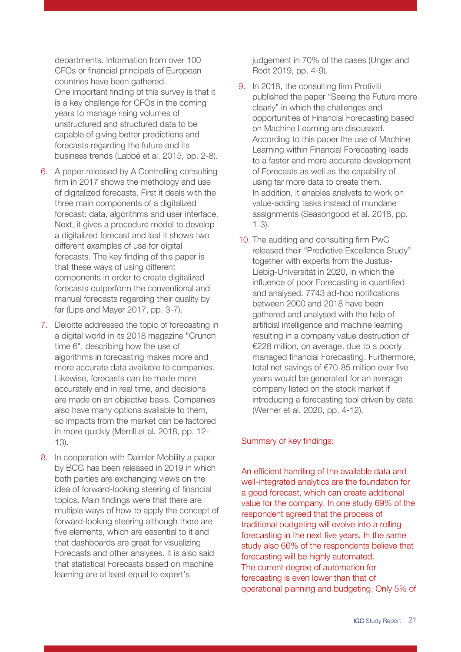departments. Information from over 100 CFOs or financial principals of European countries have been gathered. One important finding of this survey is that it is a key challenge for CFOs in the coming years to manage rising volumes of unstructured and structured data to be capable of giving better predictions and forecasts regarding the future and its business trends (Labbé et al. 2015, pp. 2-8).

- 6. A paper released by A Controlling consulting firm in 2017 shows the methology and use of digitalized forecasts. First it deals with the three main components of a digitalized forecast: data, algorithms and user interface. Next, it gives a procedure model to develop a digitalized forecast and last it shows two different examples of use for digital forecasts. The key finding of this paper is that these ways of using different components in order to create digitalized forecasts outperform the conventional and manual forecasts regarding their quality by far (Lips and Mayer 2017, pp. 3-7).
- 7. Deloitte addressed the topic of forecasting in a digital world in its 2018 magazine "Crunch time 6", describing how the use of algorithms in forecasting makes more and more accurate data available to companies. Likewise, forecasts can be made more accurately and in real time, and decisions are made on an objective basis. Companies also have many options available to them, so impacts from the market can be factored in more quickly (Merrill et al. 2018, pp. 12- 13).
- 8. In cooperation with Daimler Mobility a paper by BCG has been released in 2019 in which both parties are exchanging views on the idea of forward-looking steering of financial topics. Main findings were that there are multiple ways of how to apply the concept of forward-looking steering although there are five elements, which are essential to it and that dashboards are great for visualizing Forecasts and other analyses. It is also said that statistical Forecasts based on machine learning are at least equal to expert's

judgement in 70% of the cases (Unger and Rodt 2019, pp. 4-9).

- 9. In 2018, the consulting firm Protiviti published the paper "Seeing the Future more clearly" in which the challenges and opportunities of Financial Forecasting based on Machine Learning are discussed. According to this paper the use of Machine Learning within Financial Forecasting leads to a faster and more accurate development of Forecasts as well as the capability of using far more data to create them. In addition, it enables analysts to work on value-adding tasks instead of mundane assignments (Seasongood et al. 2018, pp. 1-3).
- 10. The auditing and consulting firm PwC released their "Predictive Excellence Study" together with experts from the Justus-Liebig-Universität in 2020, in which the influence of poor Forecasting is quantified and analysed. 7743 ad-hoc notifications between 2000 and 2018 have been gathered and analysed with the help of artificial intelligence and machine learning resulting in a company value destruction of €228 million, on average, due to a poorly managed financial Forecasting. Furthermore, total net savings of €70-85 million over five years would be generated for an average company listed on the stock market if introducing a forecasting tool driven by data (Werner et al. 2020, pp. 4-12).

### Summary of key findings:

An efficient handling of the available data and well-integrated analytics are the foundation for a good forecast, which can create additional value for the company. In one study 69% of the respondent agreed that the process of traditional budgeting will evolve into a rolling forecasting in the next five years. In the same study also 66% of the respondents believe that forecasting will be highly automated. The current degree of automation for forecasting is even lower than that of operational planning and budgeting. Only 5% of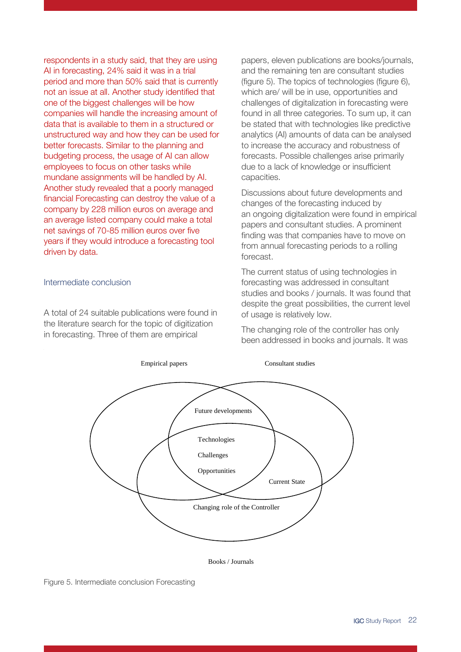respondents in a study said, that they are using AI in forecasting, 24% said it was in a trial period and more than 50% said that is currently not an issue at all. Another study identified that one of the biggest challenges will be how companies will handle the increasing amount of data that is available to them in a structured or unstructured way and how they can be used for better forecasts. Similar to the planning and budgeting process, the usage of AI can allow employees to focus on other tasks while mundane assignments will be handled by AI. Another study revealed that a poorly managed financial Forecasting can destroy the value of a company by 228 million euros on average and an average listed company could make a total net savings of 70-85 million euros over five years if they would introduce a forecasting tool driven by data.

#### Intermediate conclusion

A total of 24 suitable publications were found in the literature search for the topic of digitization in forecasting. Three of them are empirical

papers, eleven publications are books/journals, and the remaining ten are consultant studies (figure 5). The topics of technologies (figure 6), which are/ will be in use, opportunities and challenges of digitalization in forecasting were found in all three categories. To sum up, it can be stated that with technologies like predictive analytics (AI) amounts of data can be analysed to increase the accuracy and robustness of forecasts. Possible challenges arise primarily due to a lack of knowledge or insufficient capacities.

Discussions about future developments and changes of the forecasting induced by an ongoing digitalization were found in empirical papers and consultant studies. A prominent finding was that companies have to move on from annual forecasting periods to a rolling forecast.

The current status of using technologies in forecasting was addressed in consultant studies and books / journals. It was found that despite the great possibilities, the current level of usage is relatively low.

The changing role of the controller has only been addressed in books and journals. It was



Books / Journals

Figure 5. Intermediate conclusion Forecasting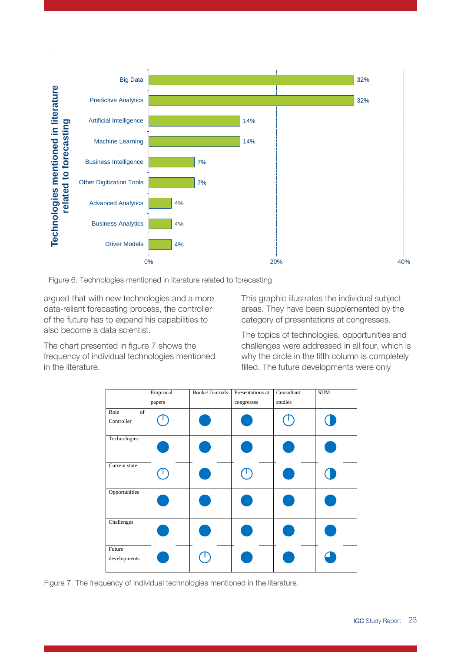

Figure 6. Technologies mentioned in literature related to forecasting

argued that with new technologies and a more data-reliant forecasting process, the controller of the future has to expand his capabilities to also become a data scientist.

The chart presented in figure 7 shows the frequency of individual technologies mentioned in the literature.

This graphic illustrates the individual subject areas. They have been supplemented by the category of presentations at congresses.

The topics of technologies, opportunities and challenges were addressed in all four, which is why the circle in the fifth column is completely filled. The future developments were only



Figure 7. The frequency of individual technologies mentioned in the literature.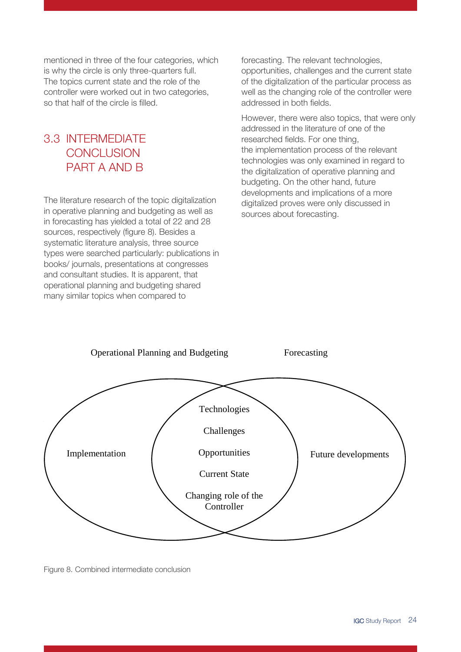mentioned in three of the four categories, which is why the circle is only three-quarters full. The topics current state and the role of the controller were worked out in two categories, so that half of the circle is filled.

### <span id="page-23-0"></span>3.3 INTERMEDIATE **CONCLUSION** PART A AND B

The literature research of the topic digitalization in operative planning and budgeting as well as in forecasting has yielded a total of 22 and 28 sources, respectively (figure 8). Besides a systematic literature analysis, three source types were searched particularly: publications in books/ journals, presentations at congresses and consultant studies. It is apparent, that operational planning and budgeting shared many similar topics when compared to

forecasting. The relevant technologies, opportunities, challenges and the current state of the digitalization of the particular process as well as the changing role of the controller were addressed in both fields.

However, there were also topics, that were only addressed in the literature of one of the researched fields. For one thing, the implementation process of the relevant technologies was only examined in regard to the digitalization of operative planning and budgeting. On the other hand, future developments and implications of a more digitalized proves were only discussed in sources about forecasting.



Figure 8. Combined intermediate conclusion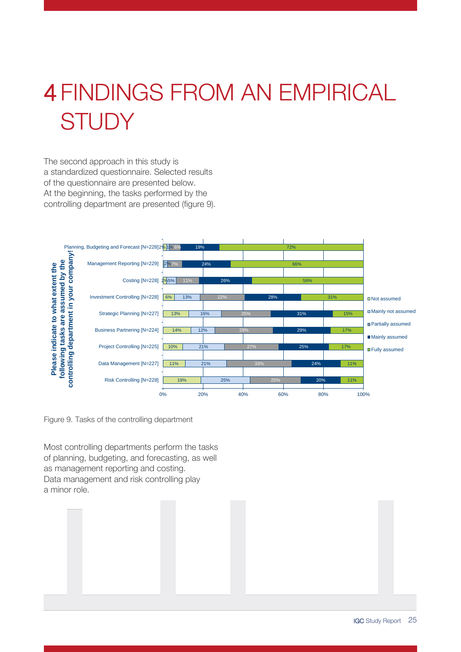## <span id="page-24-0"></span>4 FINDINGS FROM AN EMPIRICAL **STUDY**

The second approach in this study is a standardized questionnaire. Selected results of the questionnaire are presented below. At the beginning, the tasks performed by the controlling department are presented (figure 9).



Figure 9. Tasks of the controlling department

Most controlling departments perform the tasks of planning, budgeting, and forecasting, as well as management reporting and costing. Data management and risk controlling play a minor role.

IGC Study Report 25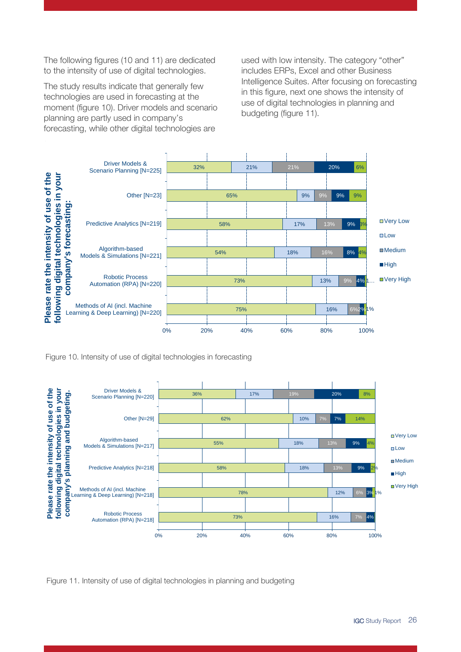The following figures (10 and 11) are dedicated to the intensity of use of digital technologies.

The study results indicate that generally few technologies are used in forecasting at the moment (figure 10). Driver models and scenario planning are partly used in company's forecasting, while other digital technologies are

used with low intensity. The category "other" includes ERPs, Excel and other Business Intelligence Suites. After focusing on forecasting in this figure, next one shows the intensity of use of digital technologies in planning and budgeting (figure 11).



Figure 10. Intensity of use of digital technologies in forecasting



Figure 11. Intensity of use of digital technologies in planning and budgeting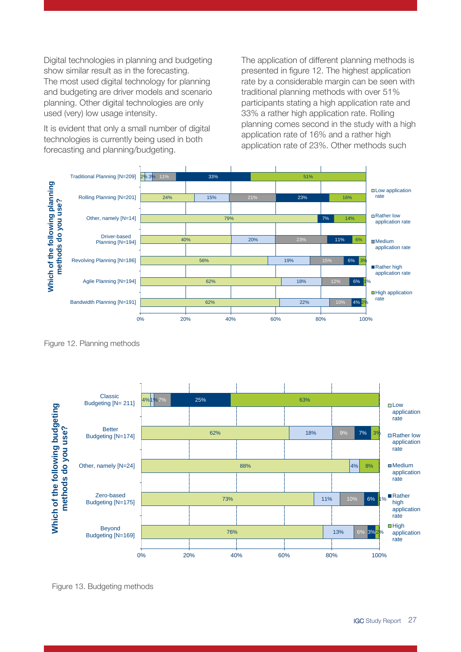Digital technologies in planning and budgeting show similar result as in the forecasting. The most used digital technology for planning and budgeting are driver models and scenario planning. Other digital technologies are only used (very) low usage intensity.

It is evident that only a small number of digital technologies is currently being used in both forecasting and planning/budgeting.

The application of different planning methods is presented in figure 12. The highest application rate by a considerable margin can be seen with traditional planning methods with over 51% participants stating a high application rate and 33% a rather high application rate. Rolling planning comes second in the study with a high application rate of 16% and a rather high application rate of 23%. Other methods such



Figure 12. Planning methods

 $4%1$ 62% 88% 73% 76%  $1%7$ 18% 4% 11% 13% 7% 9% 10% 25% 7%  $6%$  $3%$ 63% 3% 8%  $1\%$ 2% 0% 20% 40% 60% 80% 100% Classic Budgeting [N= 211] Better Budgeting [N=174] Other, namely [N=24] Zero-based Budgeting [N=175] Budgeting [N=211]<br>Budgeting [N=174]<br>Budgeting [N=174]<br>**Better**<br>Budgeting [N=175]<br>Beyond<br>Budgeting [N=169] Budgeting [N=174]<br> **Budgeting [N=174]**<br> **Budgeting [N=24]**<br> **Budgeting [N=175]**<br> **Beyond**<br>
Budgeting [N=169]  $\Box$ Low application rate ■Rather low application rate ■Medium application rate Rather high application rate **High** application rate

Figure 13. Budgeting methods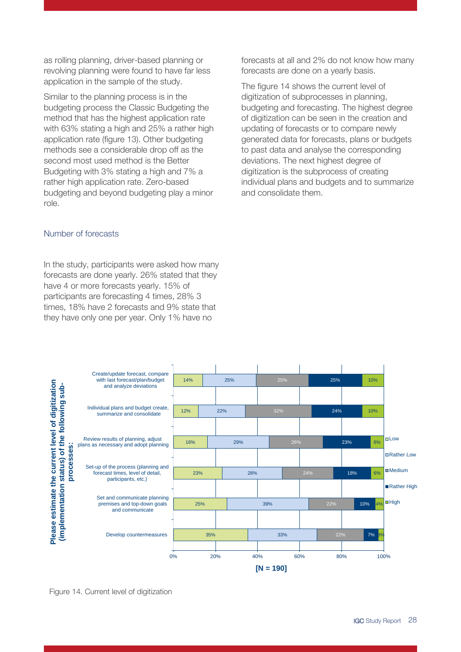as rolling planning, driver-based planning or revolving planning were found to have far less application in the sample of the study.

Similar to the planning process is in the budgeting process the Classic Budgeting the method that has the highest application rate with 63% stating a high and 25% a rather high application rate (figure 13). Other budgeting methods see a considerable drop off as the second most used method is the Better Budgeting with 3% stating a high and 7% a rather high application rate. Zero-based budgeting and beyond budgeting play a minor role.

### Number of forecasts

In the study, participants were asked how many forecasts are done yearly. 26% stated that they have 4 or more forecasts yearly. 15% of participants are forecasting 4 times, 28% 3 times, 18% have 2 forecasts and 9% state that they have only one per year. Only 1% have no

forecasts at all and 2% do not know how many forecasts are done on a yearly basis.

The figure 14 shows the current level of digitization of subprocesses in planning, budgeting and forecasting. The highest degree of digitization can be seen in the creation and updating of forecasts or to compare newly generated data for forecasts, plans or budgets to past data and analyse the corresponding deviations. The next highest degree of digitization is the subprocess of creating individual plans and budgets and to summarize and consolidate them.



Figure 14. Current level of digitization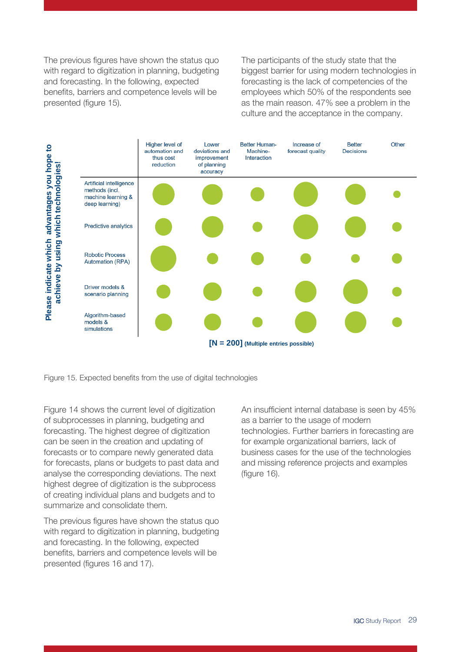The previous figures have shown the status quo with regard to digitization in planning, budgeting and forecasting. In the following, expected benefits, barriers and competence levels will be presented (figure 15).

The participants of the study state that the biggest barrier for using modern technologies in forecasting is the lack of competencies of the employees which 50% of the respondents see as the main reason. 47% see a problem in the culture and the acceptance in the company.



Figure 14 shows the current level of digitization of subprocesses in planning, budgeting and forecasting. The highest degree of digitization can be seen in the creation and updating of forecasts or to compare newly generated data for forecasts, plans or budgets to past data and analyse the corresponding deviations. The next highest degree of digitization is the subprocess of creating individual plans and budgets and to summarize and consolidate them.

The previous figures have shown the status quo with regard to digitization in planning, budgeting and forecasting. In the following, expected benefits, barriers and competence levels will be presented (figures 16 and 17).

An insufficient internal database is seen by 45% as a barrier to the usage of modern technologies. Further barriers in forecasting are for example organizational barriers, lack of business cases for the use of the technologies and missing reference projects and examples (figure 16).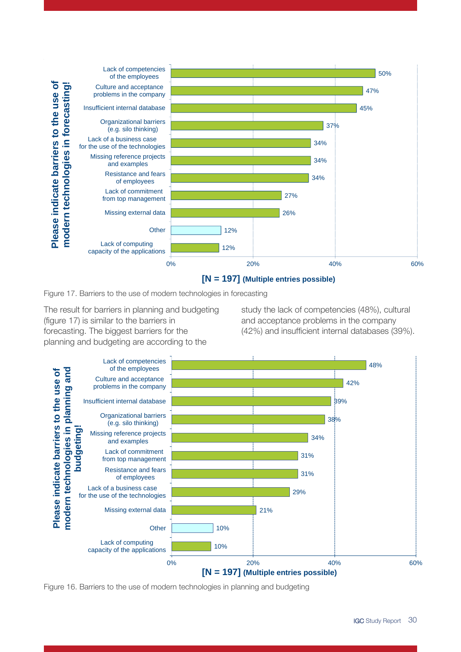

Figure 17. Barriers to the use of modern technologies in forecasting

The result for barriers in planning and budgeting (figure 17) is similar to the barriers in forecasting. The biggest barriers for the planning and budgeting are according to the

study the lack of competencies (48%), cultural and acceptance problems in the company (42%) and insufficient internal databases (39%).



Figure 16. Barriers to the use of modern technologies in planning and budgeting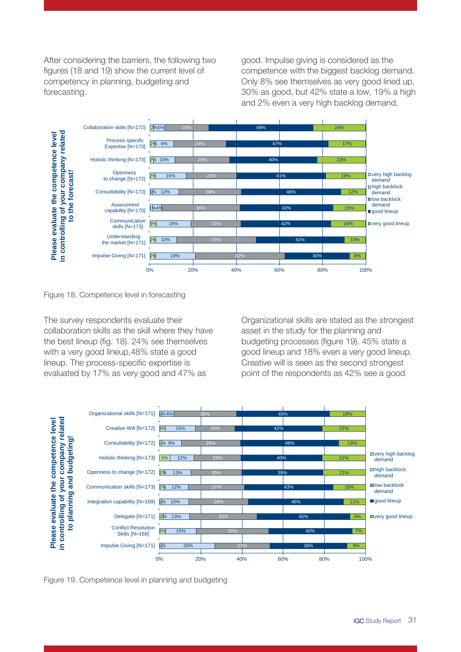After considering the barriers, the following two figures (18 and 19) show the current level of competency in planning, budgeting and forecasting.

good. Impulse giving is considered as the competence with the biggest backlog demand. Only 8% see themselves as very good lined up, 30% as good, but 42% state a low, 19% a high and 2% even a very high backlog demand.



Figure 18. Competence level in forecasting

The survey respondents evaluate their collaboration skills as the skill where they have the best lineup (fig. 18). 24% see themselves with a very good lineup,48% state a good lineup. The process-specific expertise is evaluated by 17% as very good and 47% as

Organizational skills are stated as the strongest asset in the study for the planning and budgeting processes (figure 19). 45% state a good lineup and 18% even a very good lineup. Creative will is seen as the second strongest point of the respondents as 42% see a good



Figure 19. Competence level in planning and budgeting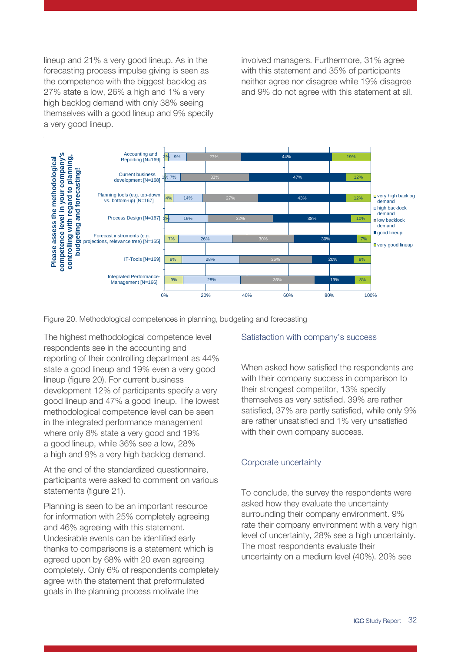lineup and 21% a very good lineup. As in the forecasting process impulse giving is seen as the competence with the biggest backlog as 27% state a low, 26% a high and 1% a very high backlog demand with only 38% seeing themselves with a good lineup and 9% specify a very good lineup.

involved managers. Furthermore, 31% agree with this statement and 35% of participants neither agree nor disagree while 19% disagree and 9% do not agree with this statement at all.



Figure 20. Methodological competences in planning, budgeting and forecasting

The highest methodological competence level respondents see in the accounting and reporting of their controlling department as 44% state a good lineup and 19% even a very good lineup (figure 20). For current business development 12% of participants specify a very good lineup and 47% a good lineup. The lowest methodological competence level can be seen in the integrated performance management where only 8% state a very good and 19% a good lineup, while 36% see a low, 28% a high and 9% a very high backlog demand.

At the end of the standardized questionnaire, participants were asked to comment on various statements (figure 21).

Planning is seen to be an important resource for information with 25% completely agreeing and 46% agreeing with this statement. Undesirable events can be identified early thanks to comparisons is a statement which is agreed upon by 68% with 20 even agreeing completely. Only 6% of respondents completely agree with the statement that preformulated goals in the planning process motivate the

### Satisfaction with company's success

When asked how satisfied the respondents are with their company success in comparison to their strongest competitor, 13% specify themselves as very satisfied. 39% are rather satisfied, 37% are partly satisfied, while only 9% are rather unsatisfied and 1% very unsatisfied with their own company success.

#### Corporate uncertainty

To conclude, the survey the respondents were asked how they evaluate the uncertainty surrounding their company environment. 9% rate their company environment with a very high level of uncertainty, 28% see a high uncertainty. The most respondents evaluate their uncertainty on a medium level (40%). 20% see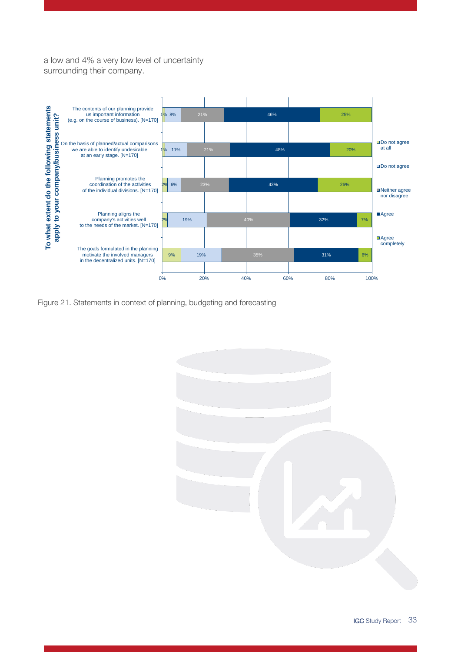a low and 4% a very low level of uncertainty surrounding their company.



Figure 21. Statements in context of planning, budgeting and forecasting

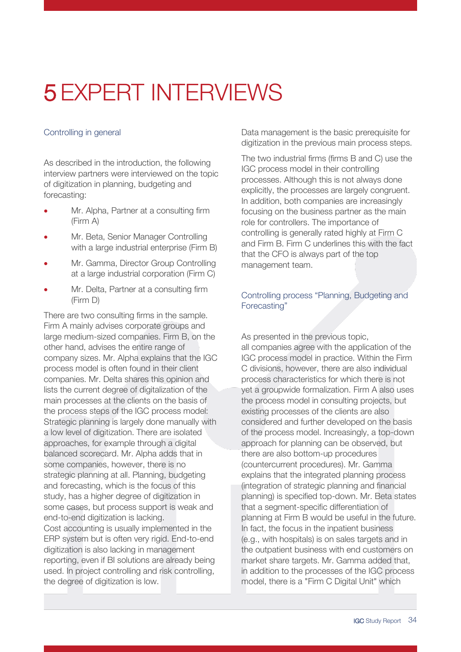## <span id="page-33-0"></span>5 EXPERT INTERVIEWS

### Controlling in general

As described in the introduction, the following interview partners were interviewed on the topic of digitization in planning, budgeting and forecasting:

- Mr. Alpha, Partner at a consulting firm (Firm A)
- Mr. Beta, Senior Manager Controlling with a large industrial enterprise (Firm B)
- Mr. Gamma, Director Group Controlling at a large industrial corporation (Firm C)
- Mr. Delta, Partner at a consulting firm (Firm D)

There are two consulting firms in the sample. Firm A mainly advises corporate groups and large medium-sized companies. Firm B, on the other hand, advises the entire range of company sizes. Mr. Alpha explains that the IGC process model is often found in their client companies. Mr. Delta shares this opinion and lists the current degree of digitalization of the main processes at the clients on the basis of the process steps of the IGC process model: Strategic planning is largely done manually with a low level of digitization. There are isolated approaches, for example through a digital balanced scorecard. Mr. Alpha adds that in some companies, however, there is no strategic planning at all. Planning, budgeting and forecasting, which is the focus of this study, has a higher degree of digitization in some cases, but process support is weak and end-to-end digitization is lacking. Cost accounting is usually implemented in the ERP system but is often very rigid. End-to-end digitization is also lacking in management reporting, even if BI solutions are already being used. In project controlling and risk controlling, the degree of digitization is low.

Data management is the basic prerequisite for digitization in the previous main process steps.

The two industrial firms (firms B and C) use the IGC process model in their controlling processes. Although this is not always done explicitly, the processes are largely congruent. In addition, both companies are increasingly focusing on the business partner as the main role for controllers. The importance of controlling is generally rated highly at Firm C and Firm B. Firm C underlines this with the fact that the CFO is always part of the top management team.

### Controlling process "Planning, Budgeting and Forecasting"

As presented in the previous topic, all companies agree with the application of the IGC process model in practice. Within the Firm C divisions, however, there are also individual process characteristics for which there is not yet a groupwide formalization. Firm A also uses the process model in consulting projects, but existing processes of the clients are also considered and further developed on the basis of the process model. Increasingly, a top-down approach for planning can be observed, but there are also bottom-up procedures (countercurrent procedures). Mr. Gamma explains that the integrated planning process (integration of strategic planning and financial planning) is specified top-down. Mr. Beta states that a segment-specific differentiation of planning at Firm B would be useful in the future. In fact, the focus in the inpatient business (e.g., with hospitals) is on sales targets and in the outpatient business with end customers on market share targets. Mr. Gamma added that, in addition to the processes of the IGC process model, there is a "Firm C Digital Unit" which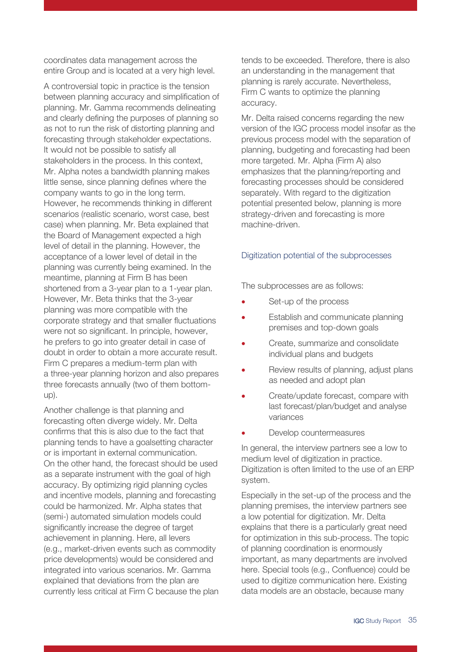coordinates data management across the entire Group and is located at a very high level.

A controversial topic in practice is the tension between planning accuracy and simplification of planning. Mr. Gamma recommends delineating and clearly defining the purposes of planning so as not to run the risk of distorting planning and forecasting through stakeholder expectations. It would not be possible to satisfy all stakeholders in the process. In this context, Mr. Alpha notes a bandwidth planning makes little sense, since planning defines where the company wants to go in the long term. However, he recommends thinking in different scenarios (realistic scenario, worst case, best case) when planning. Mr. Beta explained that the Board of Management expected a high level of detail in the planning. However, the acceptance of a lower level of detail in the planning was currently being examined. In the meantime, planning at Firm B has been shortened from a 3-year plan to a 1-year plan. However, Mr. Beta thinks that the 3-year planning was more compatible with the corporate strategy and that smaller fluctuations were not so significant. In principle, however, he prefers to go into greater detail in case of doubt in order to obtain a more accurate result. Firm C prepares a medium-term plan with a three-year planning horizon and also prepares three forecasts annually (two of them bottomup).

Another challenge is that planning and forecasting often diverge widely. Mr. Delta confirms that this is also due to the fact that planning tends to have a goalsetting character or is important in external communication. On the other hand, the forecast should be used as a separate instrument with the goal of high accuracy. By optimizing rigid planning cycles and incentive models, planning and forecasting could be harmonized. Mr. Alpha states that (semi-) automated simulation models could significantly increase the degree of target achievement in planning. Here, all levers (e.g., market-driven events such as commodity price developments) would be considered and integrated into various scenarios. Mr. Gamma explained that deviations from the plan are currently less critical at Firm C because the plan tends to be exceeded. Therefore, there is also an understanding in the management that planning is rarely accurate. Nevertheless, Firm C wants to optimize the planning accuracy.

Mr. Delta raised concerns regarding the new version of the IGC process model insofar as the previous process model with the separation of planning, budgeting and forecasting had been more targeted. Mr. Alpha (Firm A) also emphasizes that the planning/reporting and forecasting processes should be considered separately. With regard to the digitization potential presented below, planning is more strategy-driven and forecasting is more machine-driven.

### Digitization potential of the subprocesses

The subprocesses are as follows:

- Set-up of the process
- Establish and communicate planning premises and top-down goals
- Create, summarize and consolidate individual plans and budgets
- Review results of planning, adjust plans as needed and adopt plan
- Create/update forecast, compare with last forecast/plan/budget and analyse variances
- Develop countermeasures

In general, the interview partners see a low to medium level of digitization in practice. Digitization is often limited to the use of an ERP system.

Especially in the set-up of the process and the planning premises, the interview partners see a low potential for digitization. Mr. Delta explains that there is a particularly great need for optimization in this sub-process. The topic of planning coordination is enormously important, as many departments are involved here. Special tools (e.g., Confluence) could be used to digitize communication here. Existing data models are an obstacle, because many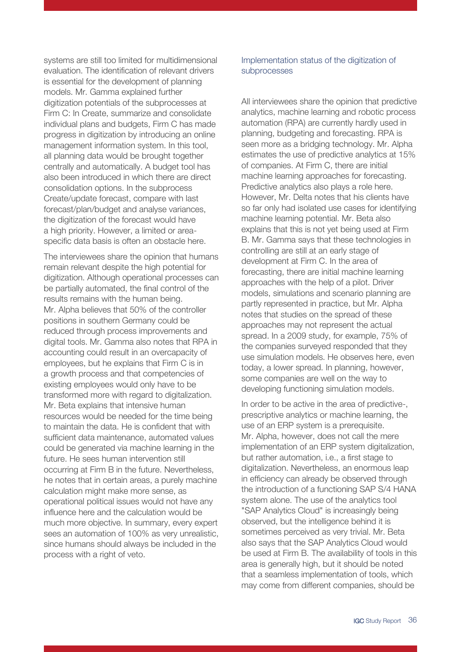systems are still too limited for multidimensional evaluation. The identification of relevant drivers is essential for the development of planning models. Mr. Gamma explained further digitization potentials of the subprocesses at Firm C: In Create, summarize and consolidate individual plans and budgets, Firm C has made progress in digitization by introducing an online management information system. In this tool, all planning data would be brought together centrally and automatically. A budget tool has also been introduced in which there are direct consolidation options. In the subprocess Create/update forecast, compare with last forecast/plan/budget and analyse variances, the digitization of the forecast would have a high priority. However, a limited or areaspecific data basis is often an obstacle here.

The interviewees share the opinion that humans remain relevant despite the high potential for digitization. Although operational processes can be partially automated, the final control of the results remains with the human being. Mr. Alpha believes that 50% of the controller positions in southern Germany could be reduced through process improvements and digital tools. Mr. Gamma also notes that RPA in accounting could result in an overcapacity of employees, but he explains that Firm C is in a growth process and that competencies of existing employees would only have to be transformed more with regard to digitalization. Mr. Beta explains that intensive human resources would be needed for the time being to maintain the data. He is confident that with sufficient data maintenance, automated values could be generated via machine learning in the future. He sees human intervention still occurring at Firm B in the future. Nevertheless, he notes that in certain areas, a purely machine calculation might make more sense, as operational political issues would not have any influence here and the calculation would be much more objective. In summary, every expert sees an automation of 100% as very unrealistic, since humans should always be included in the process with a right of veto.

### Implementation status of the digitization of subprocesses

All interviewees share the opinion that predictive analytics, machine learning and robotic process automation (RPA) are currently hardly used in planning, budgeting and forecasting. RPA is seen more as a bridging technology. Mr. Alpha estimates the use of predictive analytics at 15% of companies. At Firm C, there are initial machine learning approaches for forecasting. Predictive analytics also plays a role here. However, Mr. Delta notes that his clients have so far only had isolated use cases for identifying machine learning potential. Mr. Beta also explains that this is not yet being used at Firm B. Mr. Gamma says that these technologies in controlling are still at an early stage of development at Firm C. In the area of forecasting, there are initial machine learning approaches with the help of a pilot. Driver models, simulations and scenario planning are partly represented in practice, but Mr. Alpha notes that studies on the spread of these approaches may not represent the actual spread. In a 2009 study, for example, 75% of the companies surveyed responded that they use simulation models. He observes here, even today, a lower spread. In planning, however, some companies are well on the way to developing functioning simulation models.

In order to be active in the area of predictive-, prescriptive analytics or machine learning, the use of an ERP system is a prerequisite. Mr. Alpha, however, does not call the mere implementation of an ERP system digitalization, but rather automation, i.e., a first stage to digitalization. Nevertheless, an enormous leap in efficiency can already be observed through the introduction of a functioning SAP S/4 HANA system alone. The use of the analytics tool "SAP Analytics Cloud" is increasingly being observed, but the intelligence behind it is sometimes perceived as very trivial. Mr. Beta also says that the SAP Analytics Cloud would be used at Firm B. The availability of tools in this area is generally high, but it should be noted that a seamless implementation of tools, which may come from different companies, should be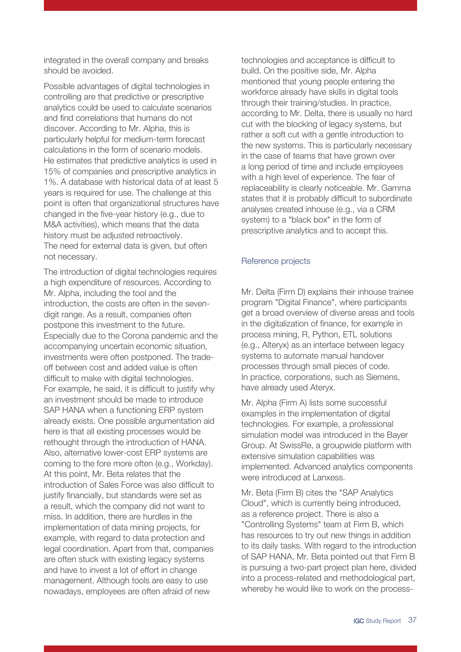integrated in the overall company and breaks should be avoided.

Possible advantages of digital technologies in controlling are that predictive or prescriptive analytics could be used to calculate scenarios and find correlations that humans do not discover. According to Mr. Alpha, this is particularly helpful for medium-term forecast calculations in the form of scenario models. He estimates that predictive analytics is used in 15% of companies and prescriptive analytics in 1%. A database with historical data of at least 5 years is required for use. The challenge at this point is often that organizational structures have changed in the five-year history (e.g., due to M&A activities), which means that the data history must be adjusted retroactively. The need for external data is given, but often not necessary.

The introduction of digital technologies requires a high expenditure of resources. According to Mr. Alpha, including the tool and the introduction, the costs are often in the sevendigit range. As a result, companies often postpone this investment to the future. Especially due to the Corona pandemic and the accompanying uncertain economic situation, investments were often postponed. The tradeoff between cost and added value is often difficult to make with digital technologies. For example, he said, it is difficult to justify why an investment should be made to introduce SAP HANA when a functioning ERP system already exists. One possible argumentation aid here is that all existing processes would be rethought through the introduction of HANA. Also, alternative lower-cost ERP systems are coming to the fore more often (e.g., Workday). At this point, Mr. Beta relates that the introduction of Sales Force was also difficult to justify financially, but standards were set as a result, which the company did not want to miss. In addition, there are hurdles in the implementation of data mining projects, for example, with regard to data protection and legal coordination. Apart from that, companies are often stuck with existing legacy systems and have to invest a lot of effort in change management. Although tools are easy to use nowadays, employees are often afraid of new

technologies and acceptance is difficult to build. On the positive side, Mr. Alpha mentioned that young people entering the workforce already have skills in digital tools through their training/studies. In practice, according to Mr. Delta, there is usually no hard cut with the blocking of legacy systems, but rather a soft cut with a gentle introduction to the new systems. This is particularly necessary in the case of teams that have grown over a long period of time and include employees with a high level of experience. The fear of replaceability is clearly noticeable. Mr. Gamma states that it is probably difficult to subordinate analyses created inhouse (e.g., via a CRM system) to a "black box" in the form of prescriptive analytics and to accept this.

#### Reference projects

Mr. Delta (Firm D) explains their inhouse trainee program "Digital Finance", where participants get a broad overview of diverse areas and tools in the digitalization of finance, for example in process mining, R, Python, ETL solutions (e.g., Alteryx) as an interface between legacy systems to automate manual handover processes through small pieces of code. In practice, corporations, such as Siemens, have already used Ateryx.

Mr. Alpha (Firm A) lists some successful examples in the implementation of digital technologies. For example, a professional simulation model was introduced in the Bayer Group. At SwissRe, a groupwide platform with extensive simulation capabilities was implemented. Advanced analytics components were introduced at Lanxess.

Mr. Beta (Firm B) cites the "SAP Analytics Cloud", which is currently being introduced, as a reference project. There is also a "Controlling Systems" team at Firm B, which has resources to try out new things in addition to its daily tasks. With regard to the introduction of SAP HANA, Mr. Beta pointed out that Firm B is pursuing a two-part project plan here, divided into a process-related and methodological part, whereby he would like to work on the process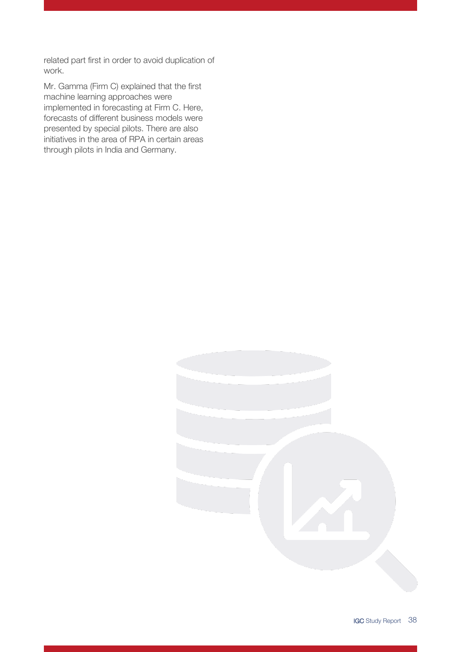related part first in order to avoid duplication of work.

Mr. Gamma (Firm C) explained that the first machine learning approaches were implemented in forecasting at Firm C. Here, forecasts of different business models were presented by special pilots. There are also initiatives in the area of RPA in certain areas through pilots in India and Germany.

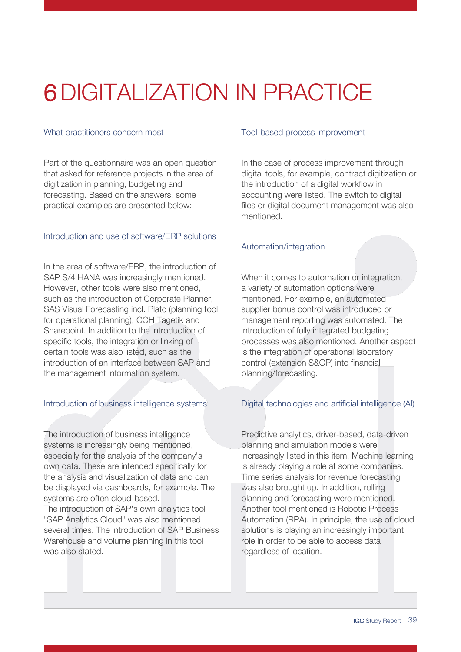## <span id="page-38-0"></span>6DIGITALIZATION IN PRACTICE

### What practitioners concern most

Part of the questionnaire was an open question that asked for reference projects in the area of digitization in planning, budgeting and forecasting. Based on the answers, some practical examples are presented below:

### Introduction and use of software/ERP solutions

In the area of software/ERP, the introduction of SAP S/4 HANA was increasingly mentioned. However, other tools were also mentioned, such as the introduction of Corporate Planner, SAS Visual Forecasting incl. Plato (planning tool for operational planning), CCH Tagetik and Sharepoint. In addition to the introduction of specific tools, the integration or linking of certain tools was also listed, such as the introduction of an interface between SAP and the management information system.

### Introduction of business intelligence systems

The introduction of business intelligence systems is increasingly being mentioned, especially for the analysis of the company's own data. These are intended specifically for the analysis and visualization of data and can be displayed via dashboards, for example. The systems are often cloud-based.

The introduction of SAP's own analytics tool "SAP Analytics Cloud" was also mentioned several times. The introduction of SAP Business Warehouse and volume planning in this tool was also stated.

#### Tool-based process improvement

In the case of process improvement through digital tools, for example, contract digitization or the introduction of a digital workflow in accounting were listed. The switch to digital files or digital document management was also mentioned.

### Automation/integration

When it comes to automation or integration, a variety of automation options were mentioned. For example, an automated supplier bonus control was introduced or management reporting was automated. The introduction of fully integrated budgeting processes was also mentioned. Another aspect is the integration of operational laboratory control (extension S&OP) into financial planning/forecasting.

### Digital technologies and artificial intelligence (AI)

Predictive analytics, driver-based, data-driven planning and simulation models were increasingly listed in this item. Machine learning is already playing a role at some companies. Time series analysis for revenue forecasting was also brought up. In addition, rolling planning and forecasting were mentioned. Another tool mentioned is Robotic Process Automation (RPA). In principle, the use of cloud solutions is playing an increasingly important role in order to be able to access data regardless of location.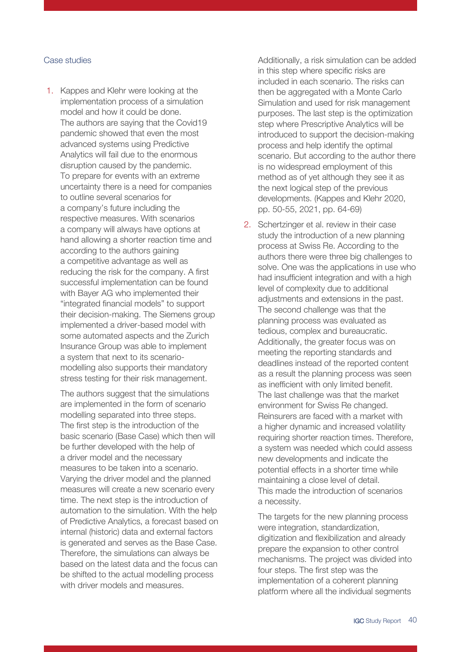#### Case studies

1. Kappes and Klehr were looking at the implementation process of a simulation model and how it could be done. The authors are saying that the Covid19 pandemic showed that even the most advanced systems using Predictive Analytics will fail due to the enormous disruption caused by the pandemic. To prepare for events with an extreme uncertainty there is a need for companies to outline several scenarios for a company's future including the respective measures. With scenarios a company will always have options at hand allowing a shorter reaction time and according to the authors gaining a competitive advantage as well as reducing the risk for the company. A first successful implementation can be found with Bayer AG who implemented their "integrated financial models" to support their decision-making. The Siemens group implemented a driver-based model with some automated aspects and the Zurich Insurance Group was able to implement a system that next to its scenariomodelling also supports their mandatory stress testing for their risk management.

The authors suggest that the simulations are implemented in the form of scenario modelling separated into three steps. The first step is the introduction of the basic scenario (Base Case) which then will be further developed with the help of a driver model and the necessary measures to be taken into a scenario. Varying the driver model and the planned measures will create a new scenario every time. The next step is the introduction of automation to the simulation. With the help of Predictive Analytics, a forecast based on internal (historic) data and external factors is generated and serves as the Base Case. Therefore, the simulations can always be based on the latest data and the focus can be shifted to the actual modelling process with driver models and measures.

Additionally, a risk simulation can be added in this step where specific risks are included in each scenario. The risks can then be aggregated with a Monte Carlo Simulation and used for risk management purposes. The last step is the optimization step where Prescriptive Analytics will be introduced to support the decision-making process and help identify the optimal scenario. But according to the author there is no widespread employment of this method as of yet although they see it as the next logical step of the previous developments. (Kappes and Klehr 2020, pp. 50-55, 2021, pp. 64-69)

2. Schertzinger et al. review in their case study the introduction of a new planning process at Swiss Re. According to the authors there were three big challenges to solve. One was the applications in use who had insufficient integration and with a high level of complexity due to additional adjustments and extensions in the past. The second challenge was that the planning process was evaluated as tedious, complex and bureaucratic. Additionally, the greater focus was on meeting the reporting standards and deadlines instead of the reported content as a result the planning process was seen as inefficient with only limited benefit. The last challenge was that the market environment for Swiss Re changed. Reinsurers are faced with a market with a higher dynamic and increased volatility requiring shorter reaction times. Therefore, a system was needed which could assess new developments and indicate the potential effects in a shorter time while maintaining a close level of detail. This made the introduction of scenarios a necessity.

The targets for the new planning process were integration, standardization, digitization and flexibilization and already prepare the expansion to other control mechanisms. The project was divided into four steps. The first step was the implementation of a coherent planning platform where all the individual segments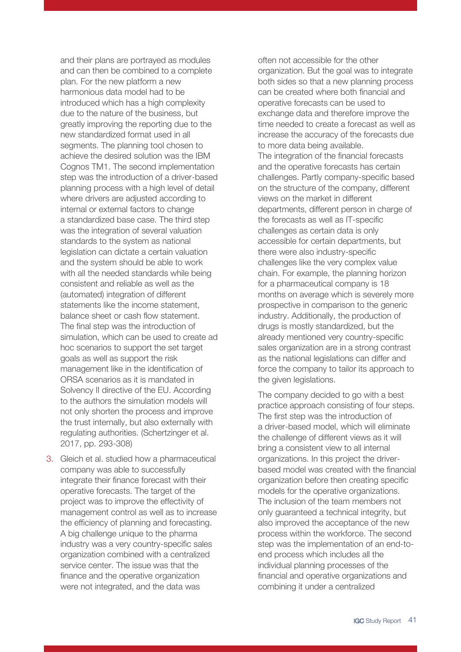and their plans are portrayed as modules and can then be combined to a complete plan. For the new platform a new harmonious data model had to be introduced which has a high complexity due to the nature of the business, but greatly improving the reporting due to the new standardized format used in all segments. The planning tool chosen to achieve the desired solution was the IBM Cognos TM1. The second implementation step was the introduction of a driver-based planning process with a high level of detail where drivers are adjusted according to internal or external factors to change a standardized base case. The third step was the integration of several valuation standards to the system as national legislation can dictate a certain valuation and the system should be able to work with all the needed standards while being consistent and reliable as well as the (automated) integration of different statements like the income statement, balance sheet or cash flow statement. The final step was the introduction of simulation, which can be used to create ad hoc scenarios to support the set target goals as well as support the risk management like in the identification of ORSA scenarios as it is mandated in Solvency II directive of the EU. According to the authors the simulation models will not only shorten the process and improve the trust internally, but also externally with regulating authorities. (Schertzinger et al. 2017, pp. 293-308)

3. Gleich et al. studied how a pharmaceutical company was able to successfully integrate their finance forecast with their operative forecasts. The target of the project was to improve the effectivity of management control as well as to increase the efficiency of planning and forecasting. A big challenge unique to the pharma industry was a very country-specific sales organization combined with a centralized service center. The issue was that the finance and the operative organization were not integrated, and the data was

often not accessible for the other organization. But the goal was to integrate both sides so that a new planning process can be created where both financial and operative forecasts can be used to exchange data and therefore improve the time needed to create a forecast as well as increase the accuracy of the forecasts due to more data being available. The integration of the financial forecasts and the operative forecasts has certain challenges. Partly company-specific based on the structure of the company, different views on the market in different departments, different person in charge of the forecasts as well as IT-specific challenges as certain data is only accessible for certain departments, but there were also industry-specific challenges like the very complex value chain. For example, the planning horizon for a pharmaceutical company is 18 months on average which is severely more prospective in comparison to the generic industry. Additionally, the production of drugs is mostly standardized, but the already mentioned very country-specific sales organization are in a strong contrast as the national legislations can differ and force the company to tailor its approach to the given legislations.

The company decided to go with a best practice approach consisting of four steps. The first step was the introduction of a driver-based model, which will eliminate the challenge of different views as it will bring a consistent view to all internal organizations. In this project the driverbased model was created with the financial organization before then creating specific models for the operative organizations. The inclusion of the team members not only guaranteed a technical integrity, but also improved the acceptance of the new process within the workforce. The second step was the implementation of an end-toend process which includes all the individual planning processes of the financial and operative organizations and combining it under a centralized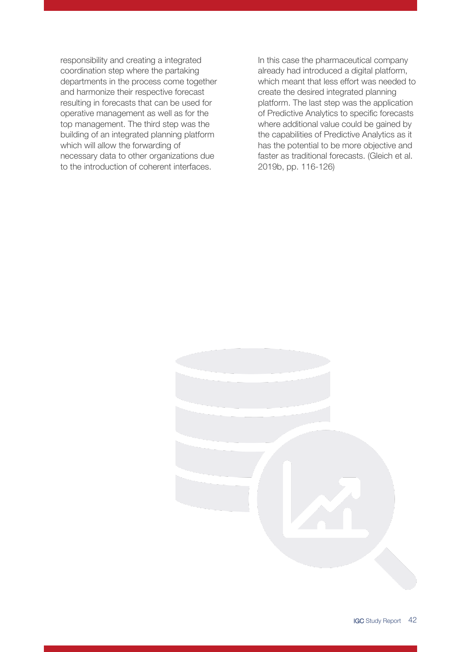responsibility and creating a integrated coordination step where the partaking departments in the process come together and harmonize their respective forecast resulting in forecasts that can be used for operative management as well as for the top management. The third step was the building of an integrated planning platform which will allow the forwarding of necessary data to other organizations due to the introduction of coherent interfaces.

In this case the pharmaceutical company already had introduced a digital platform, which meant that less effort was needed to create the desired integrated planning platform. The last step was the application of Predictive Analytics to specific forecasts where additional value could be gained by the capabilities of Predictive Analytics as it has the potential to be more objective and faster as traditional forecasts. (Gleich et al. 2019b, pp. 116-126)

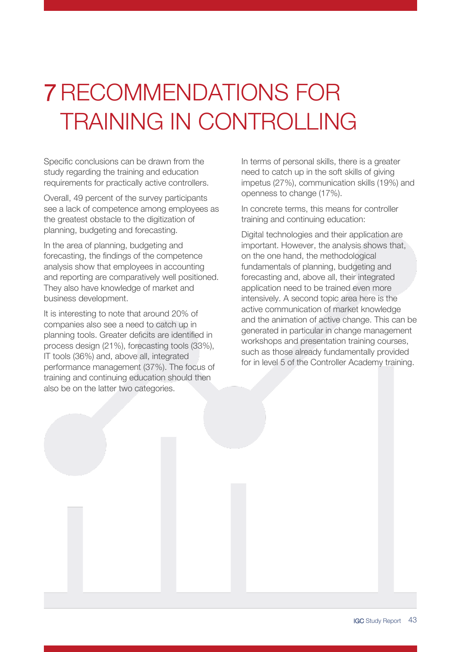## <span id="page-42-0"></span>7RECOMMENDATIONS FOR TRAINING IN CONTROLLING

Specific conclusions can be drawn from the study regarding the training and education requirements for practically active controllers.

Overall, 49 percent of the survey participants see a lack of competence among employees as the greatest obstacle to the digitization of planning, budgeting and forecasting.

In the area of planning, budgeting and forecasting, the findings of the competence analysis show that employees in accounting and reporting are comparatively well positioned. They also have knowledge of market and business development.

It is interesting to note that around 20% of companies also see a need to catch up in planning tools. Greater deficits are identified in process design (21%), forecasting tools (33%), IT tools (36%) and, above all, integrated performance management (37%). The focus of training and continuing education should then also be on the latter two categories.

In terms of personal skills, there is a greater need to catch up in the soft skills of giving impetus (27%), communication skills (19%) and openness to change (17%).

In concrete terms, this means for controller training and continuing education:

Digital technologies and their application are important. However, the analysis shows that, on the one hand, the methodological fundamentals of planning, budgeting and forecasting and, above all, their integrated application need to be trained even more intensively. A second topic area here is the active communication of market knowledge and the animation of active change. This can be generated in particular in change management workshops and presentation training courses, such as those already fundamentally provided for in level 5 of the Controller Academy training.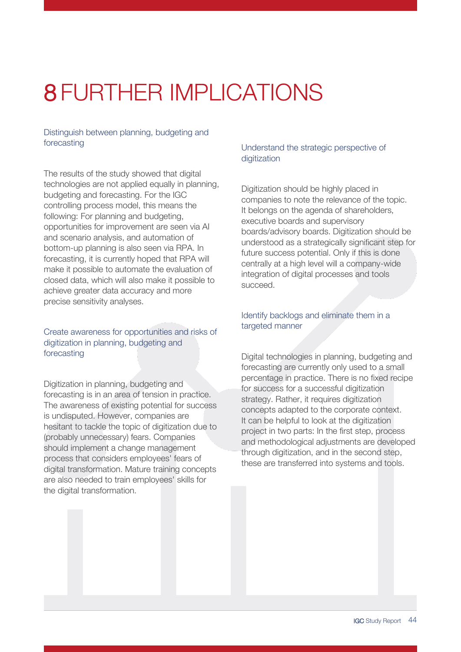## <span id="page-43-0"></span>8 FURTHER IMPLICATIONS

Distinguish between planning, budgeting and forecasting

The results of the study showed that digital technologies are not applied equally in planning, budgeting and forecasting. For the IGC controlling process model, this means the following: For planning and budgeting, opportunities for improvement are seen via AI and scenario analysis, and automation of bottom-up planning is also seen via RPA. In forecasting, it is currently hoped that RPA will make it possible to automate the evaluation of closed data, which will also make it possible to achieve greater data accuracy and more precise sensitivity analyses.

### Create awareness for opportunities and risks of digitization in planning, budgeting and forecasting

Digitization in planning, budgeting and forecasting is in an area of tension in practice. The awareness of existing potential for success is undisputed. However, companies are hesitant to tackle the topic of digitization due to (probably unnecessary) fears. Companies should implement a change management process that considers employees' fears of digital transformation. Mature training concepts are also needed to train employees' skills for the digital transformation.

### Understand the strategic perspective of digitization

Digitization should be highly placed in companies to note the relevance of the topic. It belongs on the agenda of shareholders, executive boards and supervisory boards/advisory boards. Digitization should be understood as a strategically significant step for future success potential. Only if this is done centrally at a high level will a company-wide integration of digital processes and tools succeed.

### Identify backlogs and eliminate them in a targeted manner

Digital technologies in planning, budgeting and forecasting are currently only used to a small percentage in practice. There is no fixed recipe for success for a successful digitization strategy. Rather, it requires digitization concepts adapted to the corporate context. It can be helpful to look at the digitization project in two parts: In the first step, process and methodological adjustments are developed through digitization, and in the second step, these are transferred into systems and tools.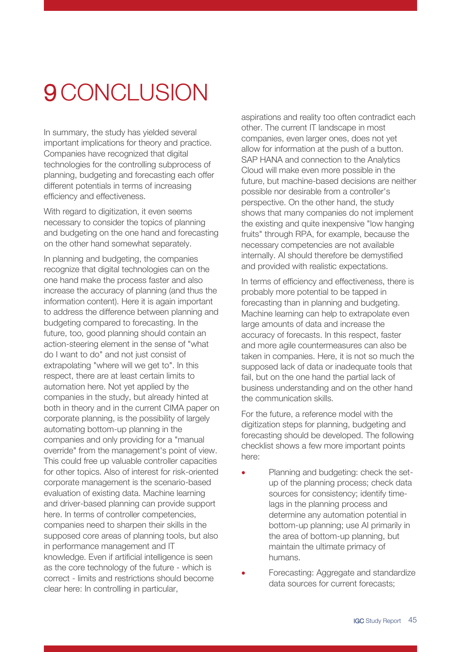### <span id="page-44-0"></span>9 CONCLUSION

In summary, the study has yielded several important implications for theory and practice. Companies have recognized that digital technologies for the controlling subprocess of planning, budgeting and forecasting each offer different potentials in terms of increasing efficiency and effectiveness.

With regard to digitization, it even seems necessary to consider the topics of planning and budgeting on the one hand and forecasting on the other hand somewhat separately.

In planning and budgeting, the companies recognize that digital technologies can on the one hand make the process faster and also increase the accuracy of planning (and thus the information content). Here it is again important to address the difference between planning and budgeting compared to forecasting. In the future, too, good planning should contain an action-steering element in the sense of "what do I want to do" and not just consist of extrapolating "where will we get to". In this respect, there are at least certain limits to automation here. Not yet applied by the companies in the study, but already hinted at both in theory and in the current CIMA paper on corporate planning, is the possibility of largely automating bottom-up planning in the companies and only providing for a "manual override" from the management's point of view. This could free up valuable controller capacities for other topics. Also of interest for risk-oriented corporate management is the scenario-based evaluation of existing data. Machine learning and driver-based planning can provide support here. In terms of controller competencies, companies need to sharpen their skills in the supposed core areas of planning tools, but also in performance management and IT knowledge. Even if artificial intelligence is seen as the core technology of the future - which is correct - limits and restrictions should become clear here: In controlling in particular,

aspirations and reality too often contradict each other. The current IT landscape in most companies, even larger ones, does not yet allow for information at the push of a button. SAP HANA and connection to the Analytics Cloud will make even more possible in the future, but machine-based decisions are neither possible nor desirable from a controller's perspective. On the other hand, the study shows that many companies do not implement the existing and quite inexpensive "low hanging fruits" through RPA, for example, because the necessary competencies are not available internally. AI should therefore be demystified and provided with realistic expectations.

In terms of efficiency and effectiveness, there is probably more potential to be tapped in forecasting than in planning and budgeting. Machine learning can help to extrapolate even large amounts of data and increase the accuracy of forecasts. In this respect, faster and more agile countermeasures can also be taken in companies. Here, it is not so much the supposed lack of data or inadequate tools that fail, but on the one hand the partial lack of business understanding and on the other hand the communication skills.

For the future, a reference model with the digitization steps for planning, budgeting and forecasting should be developed. The following checklist shows a few more important points here:

- Planning and budgeting: check the setup of the planning process; check data sources for consistency; identify timelags in the planning process and determine any automation potential in bottom-up planning; use AI primarily in the area of bottom-up planning, but maintain the ultimate primacy of humans.
- Forecasting: Aggregate and standardize data sources for current forecasts: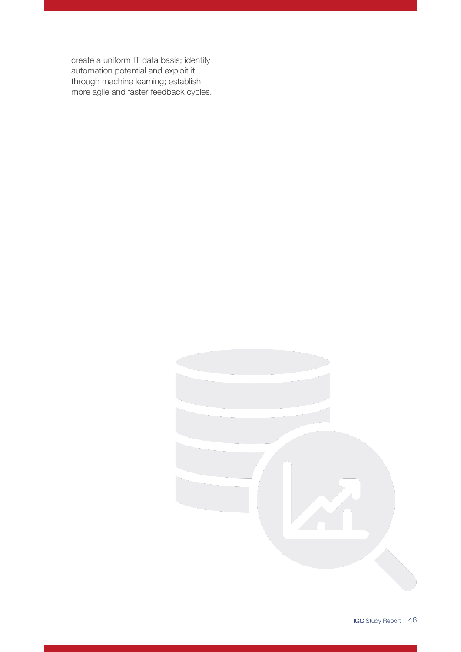create a uniform IT data basis; identify automation potential and exploit it through machine learning; establish more agile and faster feedback cycles.

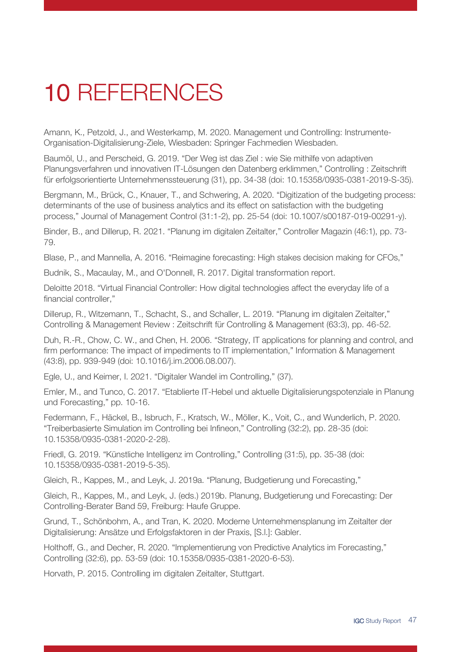## <span id="page-46-0"></span>10 REFERENCES

Amann, K., Petzold, J., and Westerkamp, M. 2020. Management und Controlling: Instrumente-Organisation-Digitalisierung-Ziele, Wiesbaden: Springer Fachmedien Wiesbaden.

Baumöl, U., and Perscheid, G. 2019. "Der Weg ist das Ziel : wie Sie mithilfe von adaptiven Planungsverfahren und innovativen IT-Lösungen den Datenberg erklimmen," Controlling : Zeitschrift für erfolgsorientierte Unternehmenssteuerung (31), pp. 34-38 (doi: 10.15358/0935-0381-2019-S-35).

Bergmann, M., Brück, C., Knauer, T., and Schwering, A. 2020. "Digitization of the budgeting process: determinants of the use of business analytics and its effect on satisfaction with the budgeting process," Journal of Management Control (31:1-2), pp. 25-54 (doi: 10.1007/s00187-019-00291-y).

Binder, B., and Dillerup, R. 2021. "Planung im digitalen Zeitalter," Controller Magazin (46:1), pp. 73- 79.

Blase, P., and Mannella, A. 2016. "Reimagine forecasting: High stakes decision making for CFOs,"

Budnik, S., Macaulay, M., and O'Donnell, R. 2017. Digital transformation report.

Deloitte 2018. "Virtual Financial Controller: How digital technologies affect the everyday life of a financial controller,"

Dillerup, R., Witzemann, T., Schacht, S., and Schaller, L. 2019. "Planung im digitalen Zeitalter," Controlling & Management Review : Zeitschrift für Controlling & Management (63:3), pp. 46-52.

Duh, R.-R., Chow, C. W., and Chen, H. 2006. "Strategy, IT applications for planning and control, and firm performance: The impact of impediments to IT implementation," Information & Management (43:8), pp. 939-949 (doi: 10.1016/j.im.2006.08.007).

Egle, U., and Keimer, I. 2021. "Digitaler Wandel im Controlling," (37).

Emler, M., and Tunco, C. 2017. "Etablierte IT-Hebel und aktuelle Digitalisierungspotenziale in Planung und Forecasting," pp. 10-16.

Federmann, F., Häckel, B., Isbruch, F., Kratsch, W., Möller, K., Voit, C., and Wunderlich, P. 2020. "Treiberbasierte Simulation im Controlling bei Infineon," Controlling (32:2), pp. 28-35 (doi: 10.15358/0935-0381-2020-2-28).

Friedl, G. 2019. "Künstliche Intelligenz im Controlling," Controlling (31:5), pp. 35-38 (doi: 10.15358/0935-0381-2019-5-35).

Gleich, R., Kappes, M., and Leyk, J. 2019a. "Planung, Budgetierung und Forecasting,"

Gleich, R., Kappes, M., and Leyk, J. (eds.) 2019b. Planung, Budgetierung und Forecasting: Der Controlling-Berater Band 59, Freiburg: Haufe Gruppe.

Grund, T., Schönbohm, A., and Tran, K. 2020. Moderne Unternehmensplanung im Zeitalter der Digitalisierung: Ansätze und Erfolgsfaktoren in der Praxis, [S.l.]: Gabler.

Holthoff, G., and Decher, R. 2020. "Implementierung von Predictive Analytics im Forecasting," Controlling (32:6), pp. 53-59 (doi: 10.15358/0935-0381-2020-6-53).

Horvath, P. 2015. Controlling im digitalen Zeitalter, Stuttgart.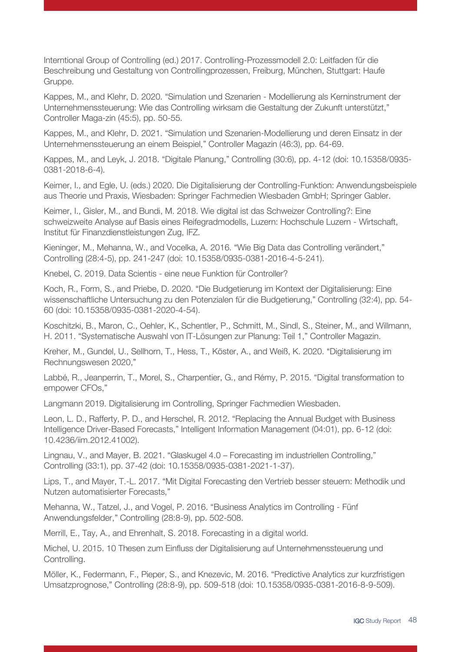Interntional Group of Controlling (ed.) 2017. Controlling-Prozessmodell 2.0: Leitfaden für die Beschreibung und Gestaltung von Controllingprozessen, Freiburg, München, Stuttgart: Haufe Gruppe.

Kappes, M., and Klehr, D. 2020. "Simulation und Szenarien - Modellierung als Kerninstrument der Unternehmenssteuerung: Wie das Controlling wirksam die Gestaltung der Zukunft unterstützt," Controller Maga-zin (45:5), pp. 50-55.

Kappes, M., and Klehr, D. 2021. "Simulation und Szenarien-Modellierung und deren Einsatz in der Unternehmenssteuerung an einem Beispiel," Controller Magazin (46:3), pp. 64-69.

Kappes, M., and Leyk, J. 2018. "Digitale Planung," Controlling (30:6), pp. 4-12 (doi: 10.15358/0935- 0381-2018-6-4).

Keimer, I., and Egle, U. (eds.) 2020. Die Digitalisierung der Controlling-Funktion: Anwendungsbeispiele aus Theorie und Praxis, Wiesbaden: Springer Fachmedien Wiesbaden GmbH; Springer Gabler.

Keimer, I., Gisler, M., and Bundi, M. 2018. Wie digital ist das Schweizer Controlling?: Eine schweizweite Analyse auf Basis eines Reifegradmodells, Luzern: Hochschule Luzern - Wirtschaft, Institut für Finanzdienstleistungen Zug, IFZ.

Kieninger, M., Mehanna, W., and Vocelka, A. 2016. "Wie Big Data das Controlling verändert," Controlling (28:4-5), pp. 241-247 (doi: 10.15358/0935-0381-2016-4-5-241).

Knebel, C. 2019. Data Scientis - eine neue Funktion für Controller?

Koch, R., Form, S., and Priebe, D. 2020. "Die Budgetierung im Kontext der Digitalisierung: Eine wissenschaftliche Untersuchung zu den Potenzialen für die Budgetierung," Controlling (32:4), pp. 54- 60 (doi: 10.15358/0935-0381-2020-4-54).

Koschitzki, B., Maron, C., Oehler, K., Schentler, P., Schmitt, M., Sindl, S., Steiner, M., and Willmann, H. 2011. "Systematische Auswahl von IT-Lösungen zur Planung: Teil 1," Controller Magazin.

Kreher, M., Gundel, U., Sellhorn, T., Hess, T., Köster, A., and Weiß, K. 2020. "Digitalisierung im Rechnungswesen 2020,"

Labbé, R., Jeanperrin, T., Morel, S., Charpentier, G., and Rémy, P. 2015. "Digital transformation to empower CFOs,"

Langmann 2019. Digitalisierung im Controlling, Springer Fachmedien Wiesbaden.

Leon, L. D., Rafferty, P. D., and Herschel, R. 2012. "Replacing the Annual Budget with Business Intelligence Driver-Based Forecasts," Intelligent Information Management (04:01), pp. 6-12 (doi: 10.4236/iim.2012.41002).

Lingnau, V., and Mayer, B. 2021. "Glaskugel 4.0 – Forecasting im industriellen Controlling," Controlling (33:1), pp. 37-42 (doi: 10.15358/0935-0381-2021-1-37).

Lips, T., and Mayer, T.-L. 2017. "Mit Digital Forecasting den Vertrieb besser steuern: Methodik und Nutzen automatisierter Forecasts,"

Mehanna, W., Tatzel, J., and Vogel, P. 2016. "Business Analytics im Controlling - Fünf Anwendungsfelder," Controlling (28:8-9), pp. 502-508.

Merrill, E., Tay, A., and Ehrenhalt, S. 2018. Forecasting in a digital world.

Michel, U. 2015. 10 Thesen zum Einfluss der Digitalisierung auf Unternehmenssteuerung und Controlling.

Möller, K., Federmann, F., Pieper, S., and Knezevic, M. 2016. "Predictive Analytics zur kurzfristigen Umsatzprognose," Controlling (28:8-9), pp. 509-518 (doi: 10.15358/0935-0381-2016-8-9-509).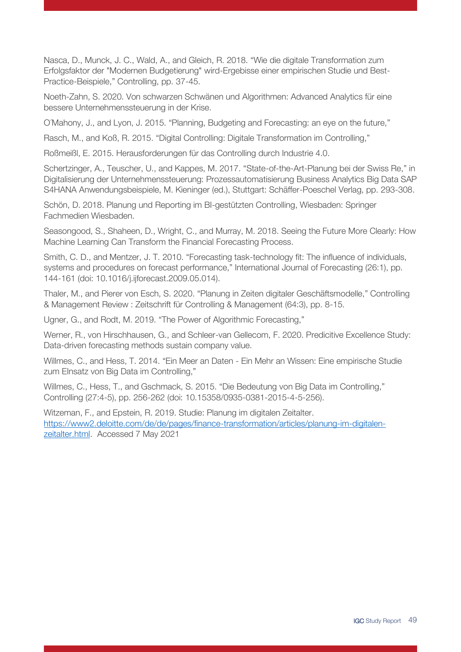Nasca, D., Munck, J. C., Wald, A., and Gleich, R. 2018. "Wie die digitale Transformation zum Erfolgsfaktor der "Modernen Budgetierung" wird-Ergebisse einer empirischen Studie und Best-Practice-Beispiele," Controlling, pp. 37-45.

Noeth-Zahn, S. 2020. Von schwarzen Schwänen und Algorithmen: Advanced Analytics für eine bessere Unternehmenssteuerung in der Krise.

O´Mahony, J., and Lyon, J. 2015. "Planning, Budgeting and Forecasting: an eye on the future,"

Rasch, M., and Koß, R. 2015. "Digital Controlling: Digitale Transformation im Controlling,"

Roßmeißl, E. 2015. Herausforderungen für das Controlling durch Industrie 4.0.

Schertzinger, A., Teuscher, U., and Kappes, M. 2017. "State-of-the-Art-Planung bei der Swiss Re," in Digitalisierung der Unternehmenssteuerung: Prozessautomatisierung Business Analytics Big Data SAP S4HANA Anwendungsbeispiele, M. Kieninger (ed.), Stuttgart: Schäffer-Poeschel Verlag, pp. 293-308.

Schön, D. 2018. Planung und Reporting im BI-gestützten Controlling, Wiesbaden: Springer Fachmedien Wiesbaden.

Seasongood, S., Shaheen, D., Wright, C., and Murray, M. 2018. Seeing the Future More Clearly: How Machine Learning Can Transform the Financial Forecasting Process.

Smith, C. D., and Mentzer, J. T. 2010. "Forecasting task-technology fit: The influence of individuals, systems and procedures on forecast performance," International Journal of Forecasting (26:1), pp. 144-161 (doi: 10.1016/j.ijforecast.2009.05.014).

Thaler, M., and Pierer von Esch, S. 2020. "Planung in Zeiten digitaler Geschäftsmodelle," Controlling & Management Review : Zeitschrift für Controlling & Management (64:3), pp. 8-15.

Ugner, G., and Rodt, M. 2019. "The Power of Algorithmic Forecasting,"

Werner, R., von Hirschhausen, G., and Schleer-van Gellecom, F. 2020. Predicitive Excellence Study: Data-driven forecasting methods sustain company value.

Willmes, C., and Hess, T. 2014. "Ein Meer an Daten - Ein Mehr an Wissen: Eine empirische Studie zum Elnsatz von Big Data im Controlling,"

Willmes, C., Hess, T., and Gschmack, S. 2015. "Die Bedeutung von Big Data im Controlling," Controlling (27:4-5), pp. 256-262 (doi: 10.15358/0935-0381-2015-4-5-256).

Witzeman, F., and Epstein, R. 2019. Studie: Planung im digitalen Zeitalter. [https://www2.deloitte.com/de/de/pages/finance-transformation/articles/planung-im-digitalen](https://www2.deloitte.com/de/de/pages/finance-transformation/articles/planung-im-digitalen-zeitalter.html)[zeitalter.html.](https://www2.deloitte.com/de/de/pages/finance-transformation/articles/planung-im-digitalen-zeitalter.html) Accessed 7 May 2021